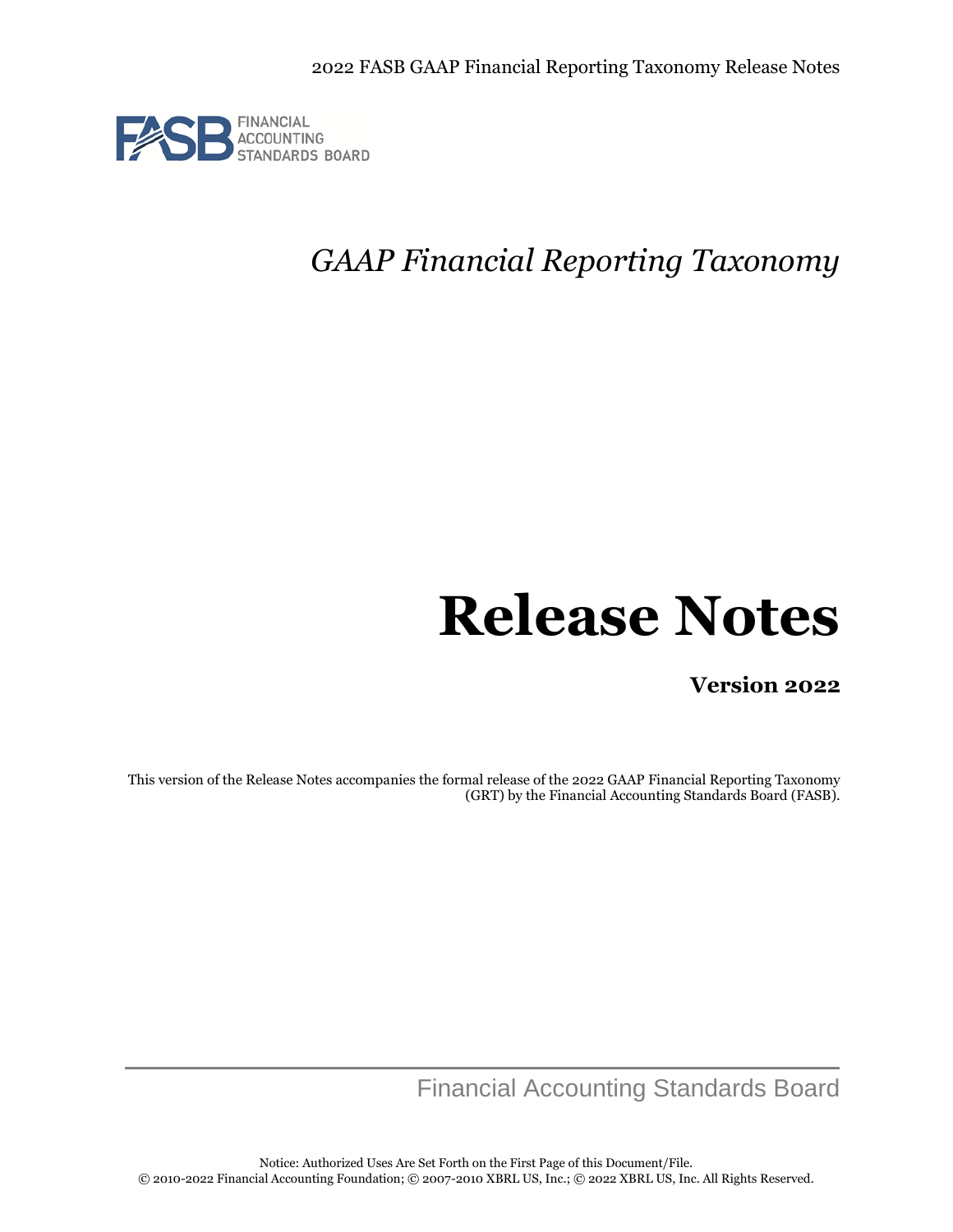

# *GAAP Financial Reporting Taxonomy*

# **Release Notes**

**Version 2022**

This version of the Release Notes accompanies the formal release of the 2022 GAAP Financial Reporting Taxonomy (GRT) by the Financial Accounting Standards Board (FASB).

Financial Accounting Standards Board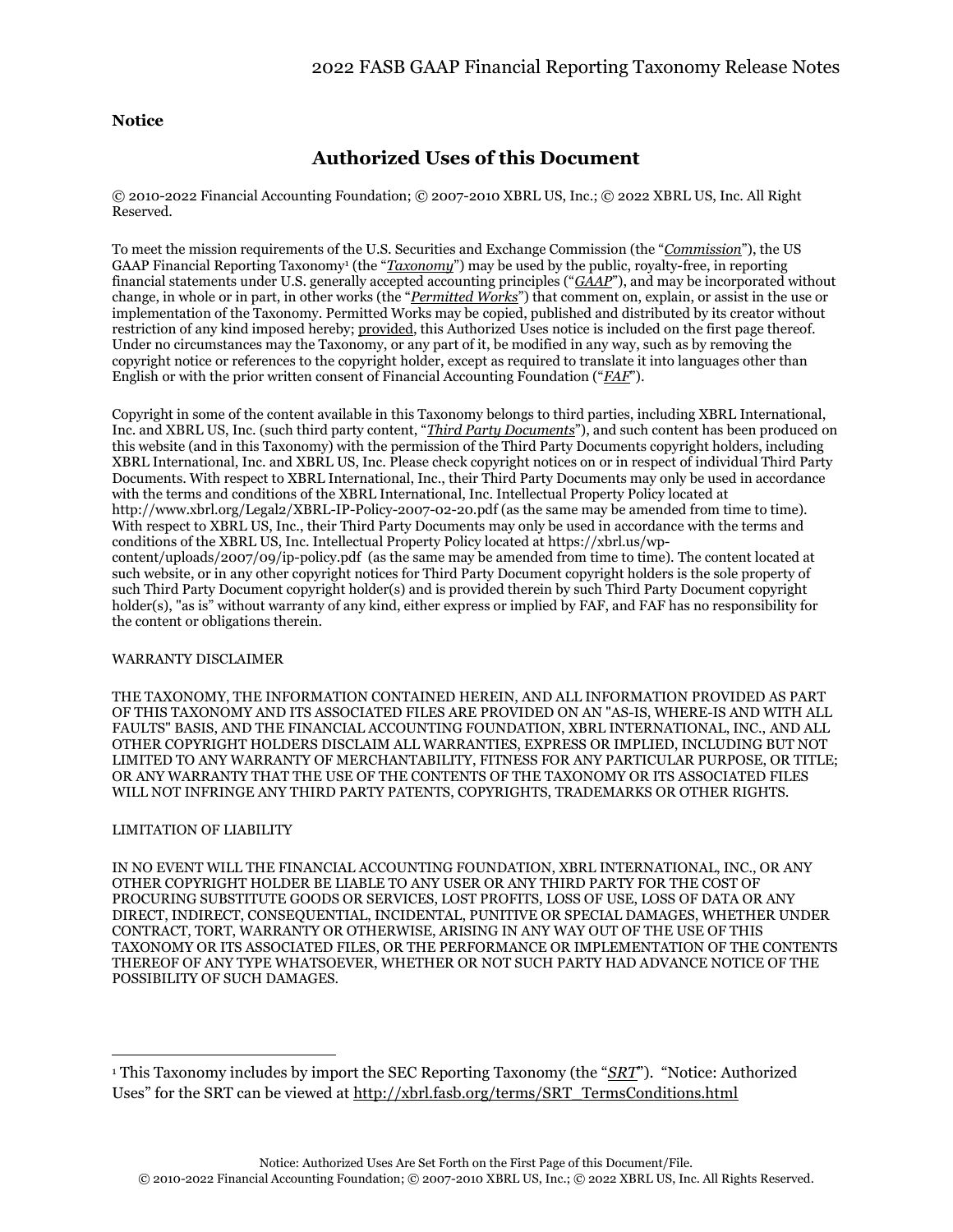### **Notice**

## **Authorized Uses of this Document**

© 2010-2022 Financial Accounting Foundation; © 2007-2010 XBRL US, Inc.; © 2022 XBRL US, Inc. All Right Reserved.

To meet the mission requirements of the U.S. Securities and Exchange Commission (the "*Commission*"), the US GAAP Financial Reporting Taxonomy<sup>1</sup> (the "*Taxonomy*") may be used by the public, royalty-free, in reporting financial statements under U.S. generally accepted accounting principles ("*GAAP*"), and may be incorporated without change, in whole or in part, in other works (the "*Permitted Works*") that comment on, explain, or assist in the use or implementation of the Taxonomy. Permitted Works may be copied, published and distributed by its creator without restriction of any kind imposed hereby; provided, this Authorized Uses notice is included on the first page thereof. Under no circumstances may the Taxonomy, or any part of it, be modified in any way, such as by removing the copyright notice or references to the copyright holder, except as required to translate it into languages other than English or with the prior written consent of Financial Accounting Foundation ("*FAF*").

Copyright in some of the content available in this Taxonomy belongs to third parties, including XBRL International, Inc. and XBRL US, Inc. (such third party content, "*Third Party Documents*"), and such content has been produced on this website (and in this Taxonomy) with the permission of the Third Party Documents copyright holders, including XBRL International, Inc. and XBRL US, Inc. Please check copyright notices on or in respect of individual Third Party Documents. With respect to XBRL International, Inc., their Third Party Documents may only be used in accordance with the terms and conditions of the XBRL International, Inc. Intellectual Property Policy located at <http://www.xbrl.org/Legal2/XBRL-IP-Policy-2007-02-20.pdf> (as the same may be amended from time to time). With respect to XBRL US, Inc., their Third Party Documents may only be used in accordance with the terms and conditions of the XBRL US, Inc. Intellectual Property Policy located at [https://xbrl.us/wp](https://xbrl.us/wp-content/uploads/2007/09/ip-policy.pdf)[content/uploads/2007/09/ip-policy.pdf](https://xbrl.us/wp-content/uploads/2007/09/ip-policy.pdf) (as the same may be amended from time to time). The content located at such website, or in any other copyright notices for Third Party Document copyright holders is the sole property of such Third Party Document copyright holder(s) and is provided therein by such Third Party Document copyright holder(s), "as is" without warranty of any kind, either express or implied by FAF, and FAF has no responsibility for the content or obligations therein.

#### WARRANTY DISCLAIMER

THE TAXONOMY, THE INFORMATION CONTAINED HEREIN, AND ALL INFORMATION PROVIDED AS PART OF THIS TAXONOMY AND ITS ASSOCIATED FILES ARE PROVIDED ON AN "AS-IS, WHERE-IS AND WITH ALL FAULTS" BASIS, AND THE FINANCIAL ACCOUNTING FOUNDATION, XBRL INTERNATIONAL, INC., AND ALL OTHER COPYRIGHT HOLDERS DISCLAIM ALL WARRANTIES, EXPRESS OR IMPLIED, INCLUDING BUT NOT LIMITED TO ANY WARRANTY OF MERCHANTABILITY, FITNESS FOR ANY PARTICULAR PURPOSE, OR TITLE; OR ANY WARRANTY THAT THE USE OF THE CONTENTS OF THE TAXONOMY OR ITS ASSOCIATED FILES WILL NOT INFRINGE ANY THIRD PARTY PATENTS, COPYRIGHTS, TRADEMARKS OR OTHER RIGHTS.

#### LIMITATION OF LIABILITY

IN NO EVENT WILL THE FINANCIAL ACCOUNTING FOUNDATION, XBRL INTERNATIONAL, INC., OR ANY OTHER COPYRIGHT HOLDER BE LIABLE TO ANY USER OR ANY THIRD PARTY FOR THE COST OF PROCURING SUBSTITUTE GOODS OR SERVICES, LOST PROFITS, LOSS OF USE, LOSS OF DATA OR ANY DIRECT, INDIRECT, CONSEQUENTIAL, INCIDENTAL, PUNITIVE OR SPECIAL DAMAGES, WHETHER UNDER CONTRACT, TORT, WARRANTY OR OTHERWISE, ARISING IN ANY WAY OUT OF THE USE OF THIS TAXONOMY OR ITS ASSOCIATED FILES, OR THE PERFORMANCE OR IMPLEMENTATION OF THE CONTENTS THEREOF OF ANY TYPE WHATSOEVER, WHETHER OR NOT SUCH PARTY HAD ADVANCE NOTICE OF THE POSSIBILITY OF SUCH DAMAGES.

<sup>1</sup> This Taxonomy includes by import the SEC Reporting Taxonomy (the "*SRT*"). "Notice: Authorized Uses" for the SRT can be viewed at [http://xbrl.fasb.org/terms/SRT\\_TermsConditions.html](http://xbrl.fasb.org/terms/SRT_TermsConditions.html)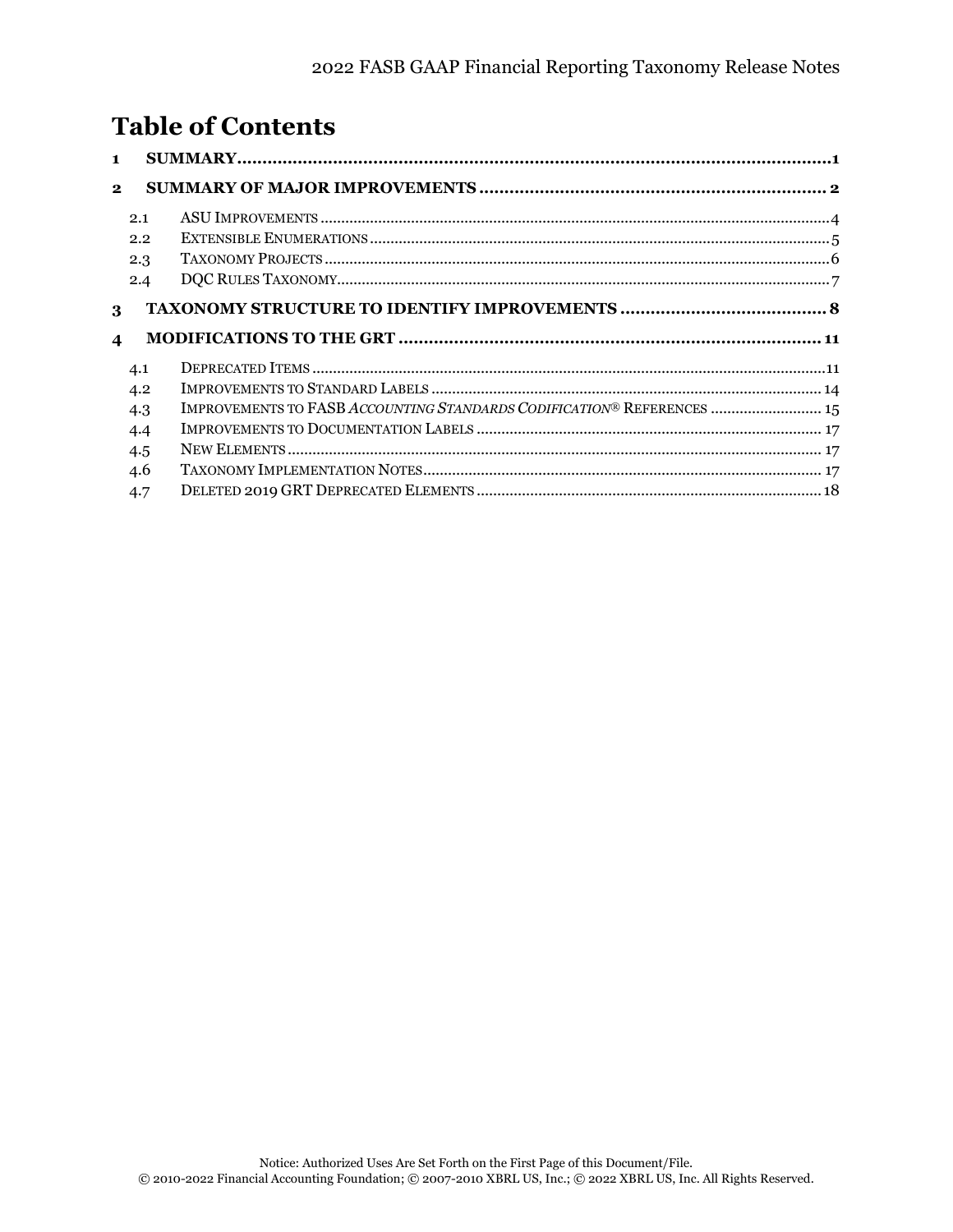# **Table of Contents**

| $\blacksquare$   |                                                                        |  |
|------------------|------------------------------------------------------------------------|--|
| $\mathbf{2}$     |                                                                        |  |
| 2.1              |                                                                        |  |
|                  | 2.2                                                                    |  |
|                  | 2.3                                                                    |  |
|                  | 2.4                                                                    |  |
|                  |                                                                        |  |
| 3                |                                                                        |  |
| $\boldsymbol{4}$ |                                                                        |  |
| 4.1              |                                                                        |  |
|                  | 4.2                                                                    |  |
| 4.3              | IMPROVEMENTS TO FASB ACCOUNTING STANDARDS CODIFICATION® REFERENCES  15 |  |
|                  | 4.4                                                                    |  |
|                  | 4.5                                                                    |  |
| 4.6              |                                                                        |  |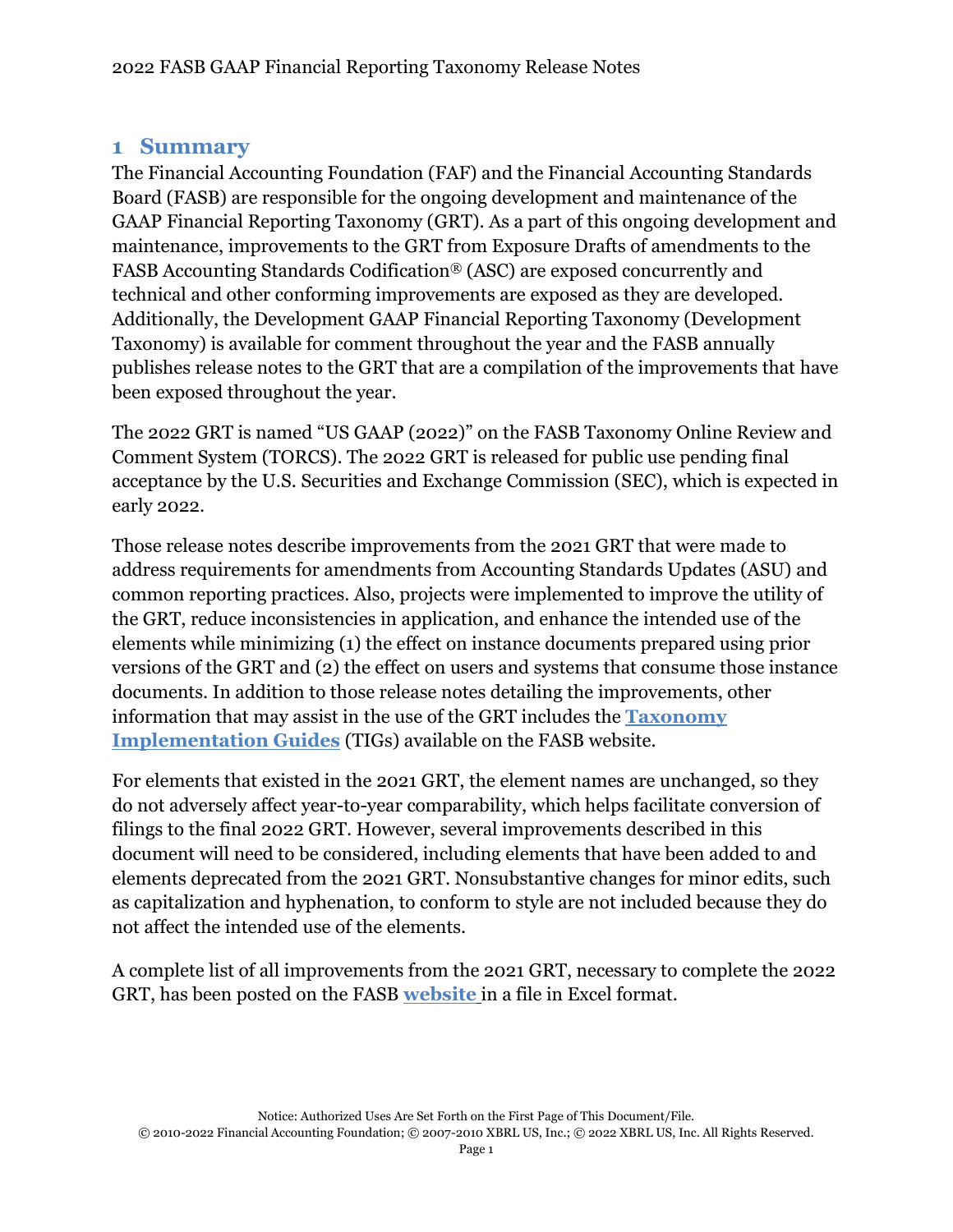# <span id="page-3-0"></span>**1 Summary**

The Financial Accounting Foundation (FAF) and the Financial Accounting Standards Board (FASB) are responsible for the ongoing development and maintenance of the GAAP Financial Reporting Taxonomy (GRT). As a part of this ongoing development and maintenance, improvements to the GRT from Exposure Drafts of amendments to the FASB Accounting Standards Codification® (ASC) are exposed concurrently and technical and other conforming improvements are exposed as they are developed. Additionally, the Development GAAP Financial Reporting Taxonomy (Development Taxonomy) is available for comment throughout the year and the FASB annually publishes release notes to the GRT that are a compilation of the improvements that have been exposed throughout the year.

The 2022 GRT is named "US GAAP (2022)" on the FASB Taxonomy Online Review and Comment System (TORCS). The 2022 GRT is released for public use pending final acceptance by the U.S. Securities and Exchange Commission (SEC), which is expected in early 2022.

Those release notes describe improvements from the 2021 GRT that were made to address requirements for amendments from Accounting Standards Updates (ASU) and common reporting practices. Also, projects were implemented to improve the utility of the GRT, reduce inconsistencies in application, and enhance the intended use of the elements while minimizing (1) the effect on instance documents prepared using prior versions of the GRT and (2) the effect on users and systems that consume those instance documents. In addition to those release notes detailing the improvements, other information that may assist in the use of the GRT includes the **[Taxonomy](http://www.fasb.org/cs/ContentServer?c=Page&pagename=FASB%2FPage%2FSectionPage&cid=1176160665046)  [Implementation Guides](http://www.fasb.org/cs/ContentServer?c=Page&pagename=FASB%2FPage%2FSectionPage&cid=1176160665046)** (TIGs) available on the FASB website.

For elements that existed in the 2021 GRT, the element names are unchanged, so they do not adversely affect year-to-year comparability, which helps facilitate conversion of filings to the final 2022 GRT. However, several improvements described in this document will need to be considered, including elements that have been added to and elements deprecated from the 2021 GRT. Nonsubstantive changes for minor edits, such as capitalization and hyphenation, to conform to style are not included because they do not affect the intended use of the elements.

A complete list of all improvements from the 2021 GRT, necessary to complete the 2022 GRT, has been posted on the FASB **[website](https://www.fasb.org/cs/ContentServer?c=Document_C&cid=1176179141384&d=&pagename=FASB%2FDocument_C%2FDocumentPage)** in a file in Excel format.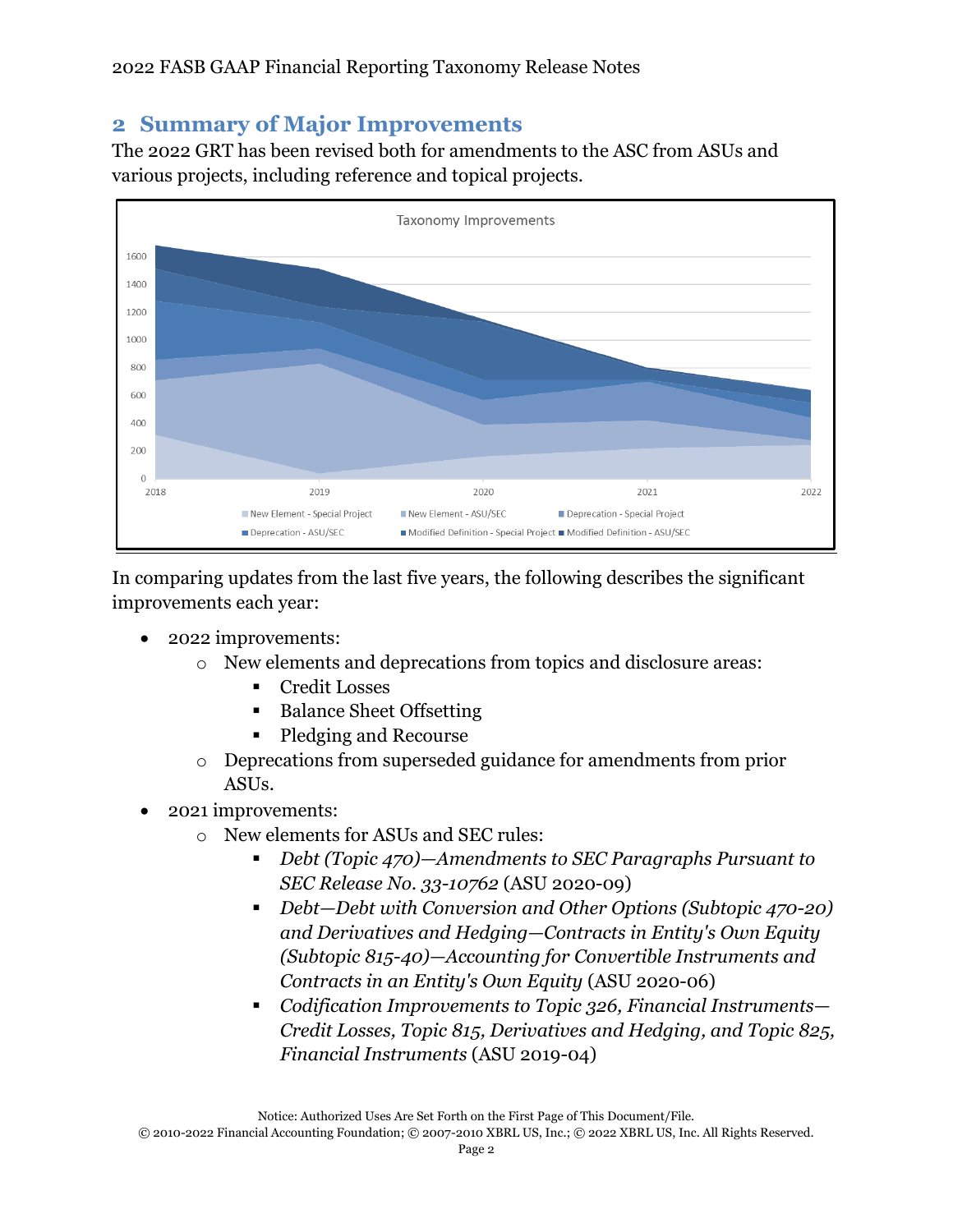# <span id="page-4-0"></span>**2 Summary of Major Improvements**

The 2022 GRT has been revised both for amendments to the ASC from ASUs and various projects, including reference and topical projects.



In comparing updates from the last five years, the following describes the significant improvements each year:

- 2022 improvements:
	- o New elements and deprecations from topics and disclosure areas:
		- Credit Losses
		- **Balance Sheet Offsetting**
		- Pledging and Recourse
	- o Deprecations from superseded guidance for amendments from prior ASUs.
- 2021 improvements:
	- o New elements for ASUs and SEC rules:
		- *Debt (Topic 470)—Amendments to SEC Paragraphs Pursuant to SEC Release No. 33-10762* (ASU 2020-09)
		- *Debt—Debt with Conversion and Other Options (Subtopic 470-20) and Derivatives and Hedging—Contracts in Entity's Own Equity (Subtopic 815-40)—Accounting for Convertible Instruments and Contracts in an Entity's Own Equity* (ASU 2020-06)
		- *Codification Improvements to Topic 326, Financial Instruments— Credit Losses, Topic 815, Derivatives and Hedging, and Topic 825, Financial Instruments* (ASU 2019-04)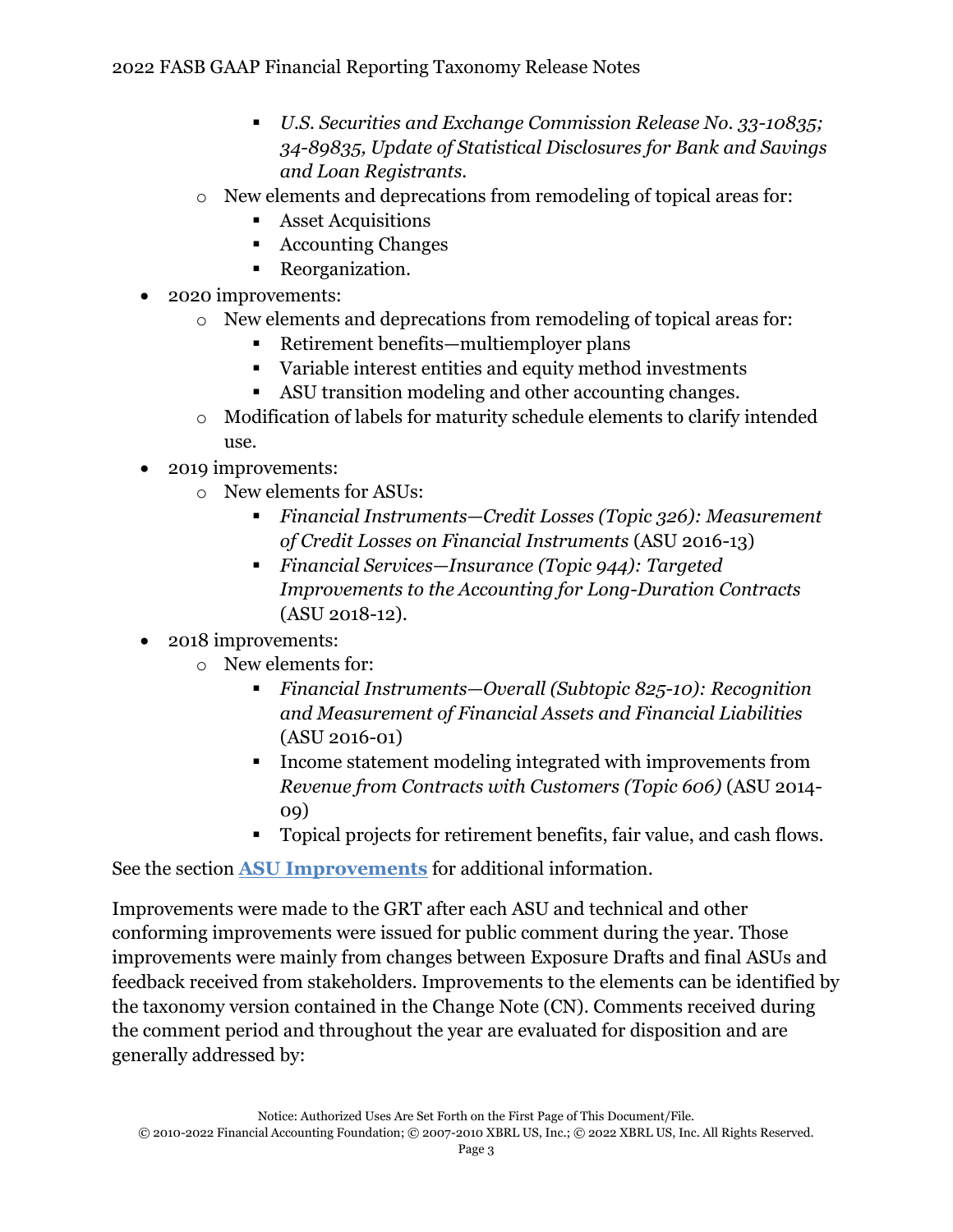- *U.S. Securities and Exchange Commission Release No. 33-10835; 34-89835, Update of Statistical Disclosures for Bank and Savings and Loan Registrants.*
- o New elements and deprecations from remodeling of topical areas for:
	- Asset Acquisitions
	- Accounting Changes
	- Reorganization.
- 2020 improvements:
	- o New elements and deprecations from remodeling of topical areas for:
		- Retirement benefits—multiemployer plans
		- Variable interest entities and equity method investments
		- ASU transition modeling and other accounting changes.
	- o Modification of labels for maturity schedule elements to clarify intended use.
- 2019 improvements:
	- o New elements for ASUs:
		- *Financial Instruments—Credit Losses (Topic 326): Measurement of Credit Losses on Financial Instruments* (ASU 2016-13)
		- *Financial Services—Insurance (Topic 944): Targeted Improvements to the Accounting for Long-Duration Contracts* (ASU 2018-12).
- 2018 improvements:
	- o New elements for:
		- *Financial Instruments—Overall (Subtopic 825-10): Recognition and Measurement of Financial Assets and Financial Liabilities* (ASU 2016-01)
		- Income statement modeling integrated with improvements from *Revenue from Contracts with Customers (Topic 606)* (ASU 2014- 09)
		- Topical projects for retirement benefits, fair value, and cash flows.

See the section **[ASU Improvements](#page-6-0)** for additional information.

Improvements were made to the GRT after each ASU and technical and other conforming improvements were issued for public comment during the year. Those improvements were mainly from changes between Exposure Drafts and final ASUs and feedback received from stakeholders. Improvements to the elements can be identified by the taxonomy version contained in the Change Note (CN). Comments received during the comment period and throughout the year are evaluated for disposition and are generally addressed by: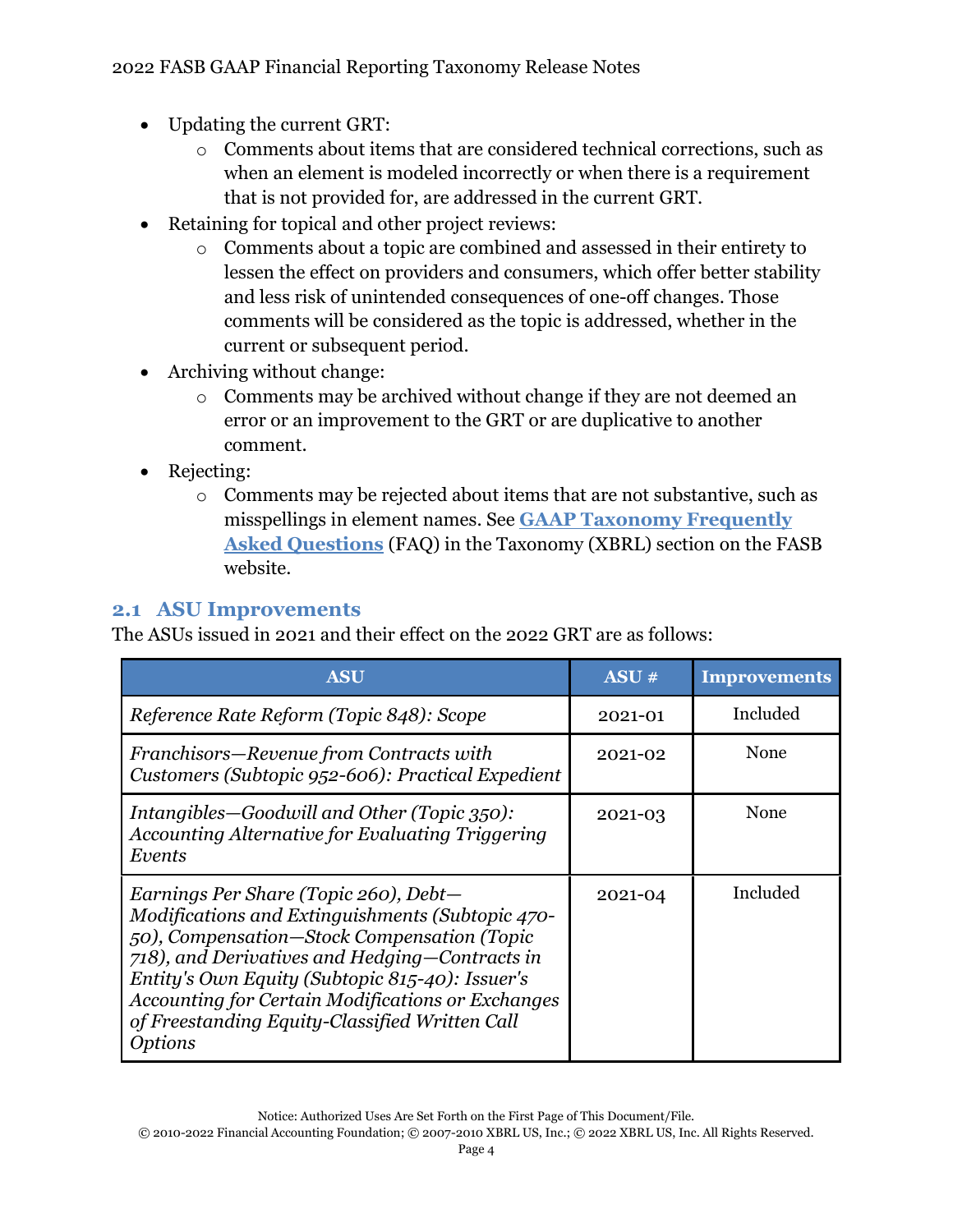- Updating the current GRT:
	- o Comments about items that are considered technical corrections, such as when an element is modeled incorrectly or when there is a requirement that is not provided for, are addressed in the current GRT.
- Retaining for topical and other project reviews:
	- o Comments about a topic are combined and assessed in their entirety to lessen the effect on providers and consumers, which offer better stability and less risk of unintended consequences of one-off changes. Those comments will be considered as the topic is addressed, whether in the current or subsequent period.
- Archiving without change:
	- o Comments may be archived without change if they are not deemed an error or an improvement to the GRT or are duplicative to another comment.
- Rejecting:
	- o Comments may be rejected about items that are not substantive, such as misspellings in element names. See **[GAAP Taxonomy Frequently](https://www.fasb.org/taxonomyfaq)  [Asked Questions](https://www.fasb.org/taxonomyfaq)** (FAQ) in the Taxonomy (XBRL) section on the FASB website.

# <span id="page-6-0"></span>**2.1 ASU Improvements**

The ASUs issued in 2021 and their effect on the 2022 GRT are as follows:

| <b>ASU</b>                                                                                                                                                                                                                                                                                                                                                                           | ASU#    | <b>Improvements</b> |
|--------------------------------------------------------------------------------------------------------------------------------------------------------------------------------------------------------------------------------------------------------------------------------------------------------------------------------------------------------------------------------------|---------|---------------------|
| Reference Rate Reform (Topic 848): Scope                                                                                                                                                                                                                                                                                                                                             | 2021-01 | Included            |
| Franchisors-Revenue from Contracts with<br>Customers (Subtopic 952-606): Practical Expedient                                                                                                                                                                                                                                                                                         | 2021-02 | None                |
| Intangibles-Goodwill and Other (Topic 350):<br>Accounting Alternative for Evaluating Triggering<br>Events                                                                                                                                                                                                                                                                            | 2021-03 | None                |
| Earnings Per Share (Topic 260), Debt-<br>Modifications and Extinguishments (Subtopic 470-<br>50), Compensation-Stock Compensation (Topic<br>718), and Derivatives and Hedging-Contracts in<br>Entity's Own Equity (Subtopic 815-40): Issuer's<br><b>Accounting for Certain Modifications or Exchanges</b><br>of Freestanding Equity-Classified Written Call<br><i><b>Options</b></i> | 2021-04 | Included            |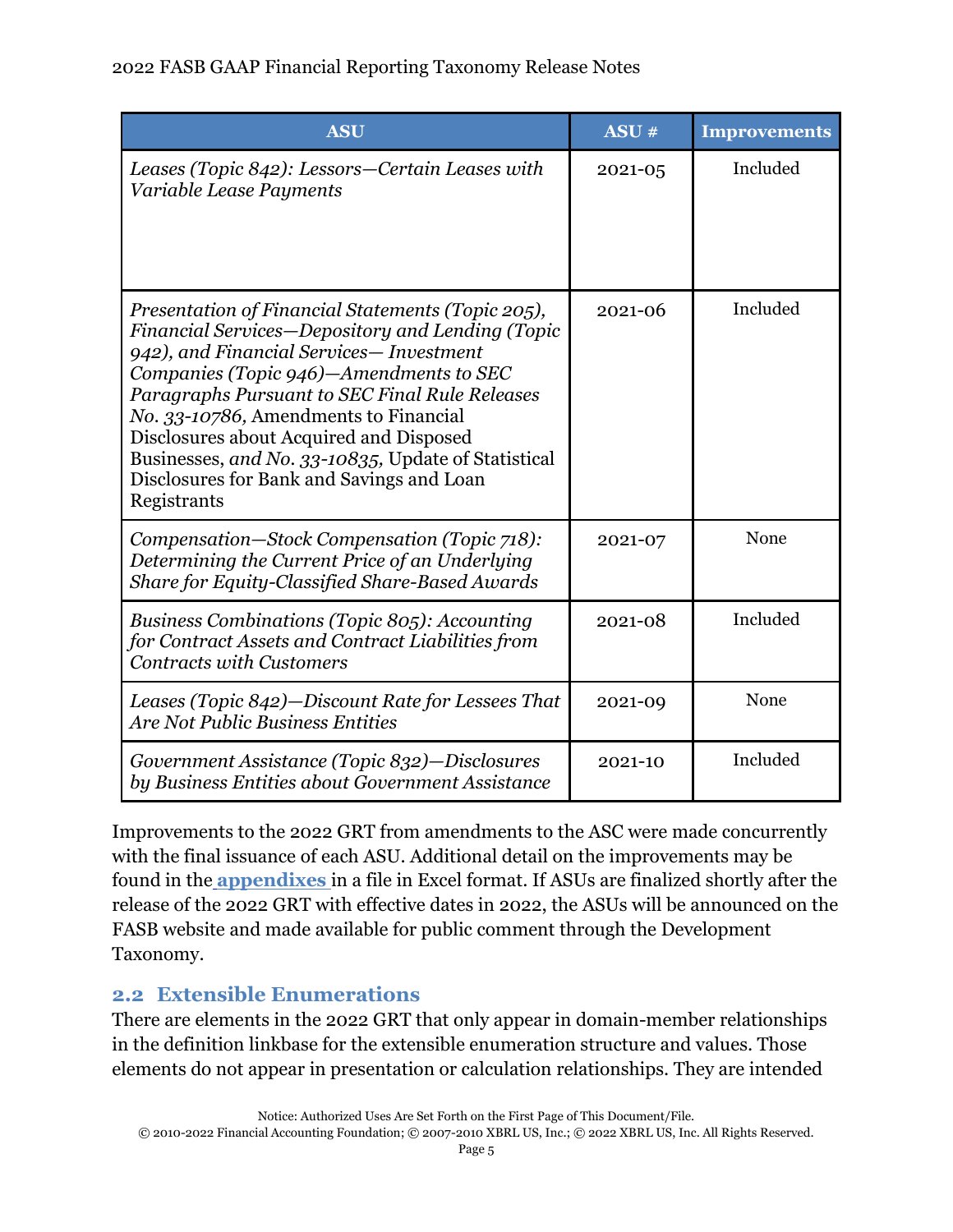## 2022 FASB GAAP Financial Reporting Taxonomy Release Notes

| <b>ASU</b>                                                                                                                                                                                                                                                                                                                                                                                                                                           | ASU#    | <b>Improvements</b> |
|------------------------------------------------------------------------------------------------------------------------------------------------------------------------------------------------------------------------------------------------------------------------------------------------------------------------------------------------------------------------------------------------------------------------------------------------------|---------|---------------------|
| Leases (Topic 842): Lessors-Certain Leases with<br>Variable Lease Payments                                                                                                                                                                                                                                                                                                                                                                           | 2021-05 | Included            |
| Presentation of Financial Statements (Topic 205),<br>Financial Services-Depository and Lending (Topic<br>942), and Financial Services-Investment<br>Companies (Topic 946)–Amendments to SEC<br>Paragraphs Pursuant to SEC Final Rule Releases<br>No. 33-10786, Amendments to Financial<br>Disclosures about Acquired and Disposed<br>Businesses, and No. 33-10835, Update of Statistical<br>Disclosures for Bank and Savings and Loan<br>Registrants | 2021-06 | Included            |
| Compensation-Stock Compensation (Topic 718):<br>Determining the Current Price of an Underlying<br>Share for Equity-Classified Share-Based Awards                                                                                                                                                                                                                                                                                                     | 2021-07 | None                |
| Business Combinations (Topic 805): Accounting<br>for Contract Assets and Contract Liabilities from<br><b>Contracts with Customers</b>                                                                                                                                                                                                                                                                                                                | 2021-08 | Included            |
| Leases (Topic 842)-Discount Rate for Lessees That<br><b>Are Not Public Business Entities</b>                                                                                                                                                                                                                                                                                                                                                         | 2021-09 | None                |
| Government Assistance (Topic 832)—Disclosures<br>by Business Entities about Government Assistance                                                                                                                                                                                                                                                                                                                                                    | 2021-10 | Included            |

Improvements to the 2022 GRT from amendments to the ASC were made concurrently with the final issuance of each ASU. Additional detail on the improvements may be found in the **[appendixes](https://www.fasb.org/cs/ContentServer?c=Document_C&cid=1176179141384&d=&pagename=FASB%2FDocument_C%2FDocumentPage)** in a file in Excel format. If ASUs are finalized shortly after the release of the 2022 GRT with effective dates in 2022, the ASUs will be announced on the FASB website and made available for public comment through the Development Taxonomy.

# <span id="page-7-0"></span>**2.2 Extensible Enumerations**

There are elements in the 2022 GRT that only appear in domain-member relationships in the definition linkbase for the extensible enumeration structure and values. Those elements do not appear in presentation or calculation relationships. They are intended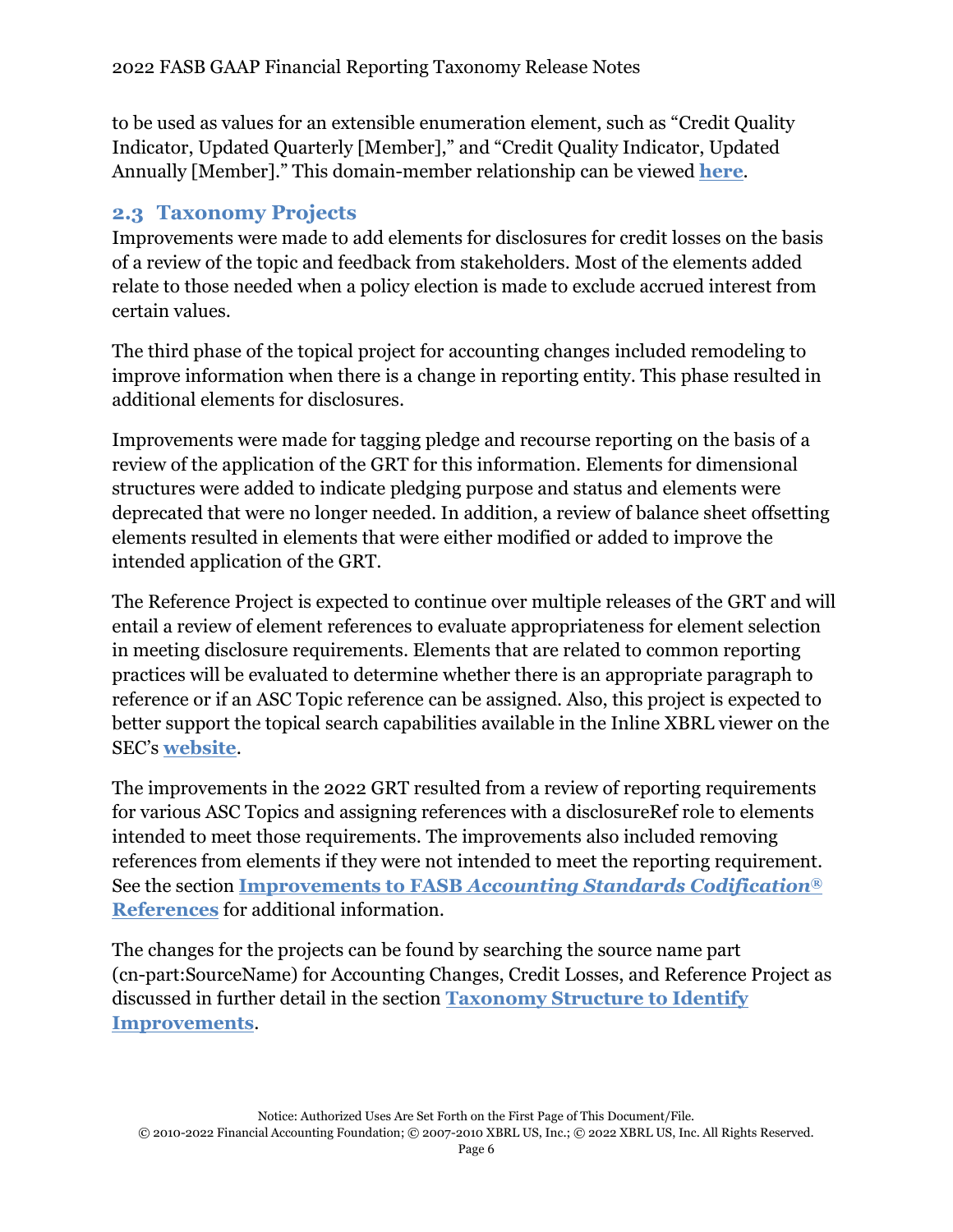to be used as values for an extensible enumeration element, such as "Credit Quality Indicator, Updated Quarterly [Member]," and "Credit Quality Indicator, Updated Annually [Member]." This domain-member relationship can be viewed **[here](http://xbrlview.fasb.org/yeti/resources/yeti-gwt/Yeti.jsp#tax~(id~174*v~7789)!con~(id~4934646)!net~(a~3483*l~833)!lang~(code~en-us)!path~(g~99122*p~13)!rg~(rg~32*p~12))**.

# <span id="page-8-0"></span>**2.3 Taxonomy Projects**

Improvements were made to add elements for disclosures for credit losses on the basis of a review of the topic and feedback from stakeholders. Most of the elements added relate to those needed when a policy election is made to exclude accrued interest from certain values.

The third phase of the topical project for accounting changes included remodeling to improve information when there is a change in reporting entity. This phase resulted in additional elements for disclosures.

Improvements were made for tagging pledge and recourse reporting on the basis of a review of the application of the GRT for this information. Elements for dimensional structures were added to indicate pledging purpose and status and elements were deprecated that were no longer needed. In addition, a review of balance sheet offsetting elements resulted in elements that were either modified or added to improve the intended application of the GRT.

The Reference Project is expected to continue over multiple releases of the GRT and will entail a review of element references to evaluate appropriateness for element selection in meeting disclosure requirements. Elements that are related to common reporting practices will be evaluated to determine whether there is an appropriate paragraph to reference or if an ASC Topic reference can be assigned. Also, this project is expected to better support the topical search capabilities available in the Inline XBRL viewer on the SEC's **[website](https://www.sec.gov/structureddata/osd-inline-xbrl.html)**.

The improvements in the 2022 GRT resulted from a review of reporting requirements for various ASC Topics and assigning references with a disclosureRef role to elements intended to meet those requirements. The improvements also included removing references from elements if they were not intended to meet the reporting requirement. See the section **Improvements to FASB** *[Accounting Standards Codification](#page-17-0)***® [References](#page-17-0)** for additional information.

The changes for the projects can be found by searching the source name part (cn-part:SourceName) for Accounting Changes, Credit Losses, and Reference Project as discussed in further detail in the section **[Taxonomy Structure to Identify](#page-10-0)  [Improvements](#page-10-0)**.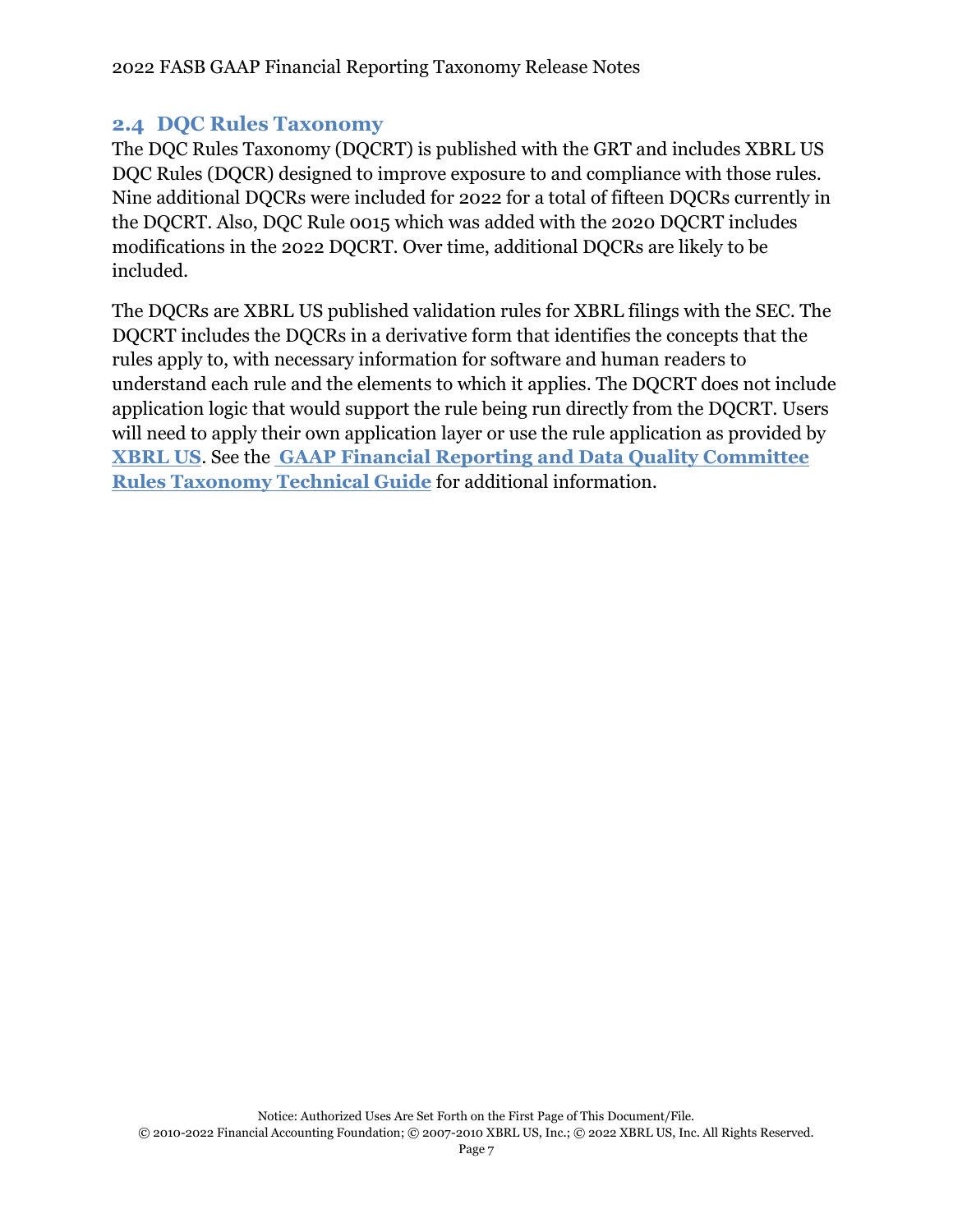# <span id="page-9-0"></span>**2.4 DQC Rules Taxonomy**

The DQC Rules Taxonomy (DQCRT) is published with the GRT and includes XBRL US DQC Rules (DQCR) designed to improve exposure to and compliance with those rules. Nine additional DQCRs were included for 2022 for a total of fifteen DQCRs currently in the DQCRT. Also, DQC Rule 0015 which was added with the 2020 DQCRT includes modifications in the 2022 DQCRT. Over time, additional DQCRs are likely to be included.

The DQCRs are XBRL US published validation rules for XBRL filings with the SEC. The DQCRT includes the DQCRs in a derivative form that identifies the concepts that the rules apply to, with necessary information for software and human readers to understand each rule and the elements to which it applies. The DQCRT does not include application logic that would support the rule being run directly from the DQCRT. Users will need to apply their own application layer or use the rule application as provided by **[XBRL US](https://xbrl.us/data-quality/rules-guidance/)**. See the **[GAAP Financial Reporting and Data Quality Committee](https://www.fasb.org/cs/ContentServer?c=Document_C&cid=1176179152432&d=&pagename=FASB%2FDocument_C%2FDocumentPage)  Rules Taxonomy [Technical Guide](https://www.fasb.org/cs/ContentServer?c=Document_C&cid=1176179152432&d=&pagename=FASB%2FDocument_C%2FDocumentPage)** for additional information.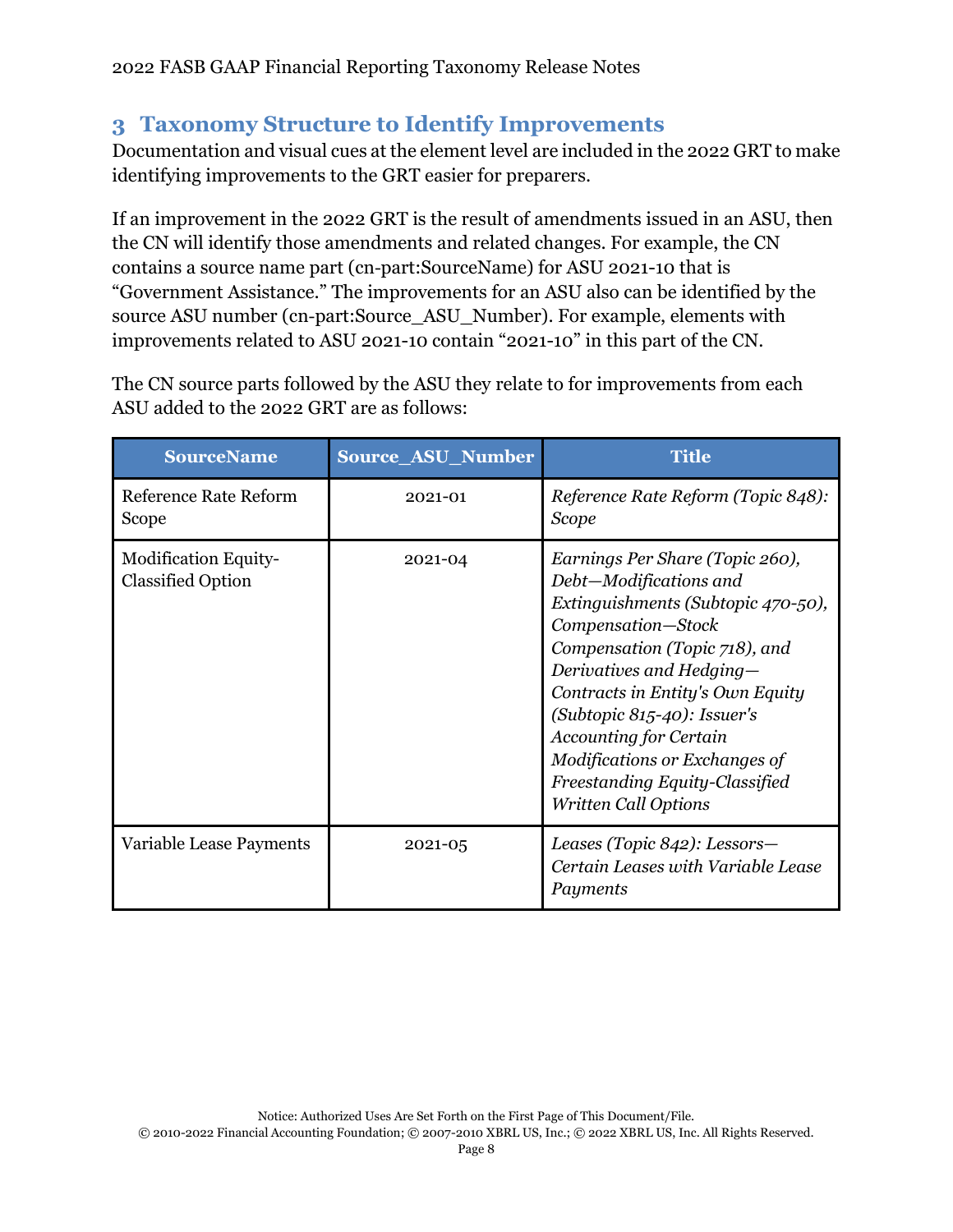# <span id="page-10-0"></span>**3 Taxonomy Structure to Identify Improvements**

Documentation and visual cues at the element level are included in the 2022 GRT to make identifying improvements to the GRT easier for preparers.

If an improvement in the 2022 GRT is the result of amendments issued in an ASU, then the CN will identify those amendments and related changes. For example, the CN contains a source name part (cn-part:SourceName) for ASU 2021-10 that is "Government Assistance." The improvements for an ASU also can be identified by the source ASU number (cn-part:Source\_ASU\_Number). For example, elements with improvements related to ASU 2021-10 contain "2021-10" in this part of the CN.

The CN source parts followed by the ASU they relate to for improvements from each ASU added to the 2022 GRT are as follows:

| <b>SourceName</b>                                       | <b>Source ASU Number</b> | <b>Title</b>                                                                                                                                                                                                                                                                                                                                                                                |
|---------------------------------------------------------|--------------------------|---------------------------------------------------------------------------------------------------------------------------------------------------------------------------------------------------------------------------------------------------------------------------------------------------------------------------------------------------------------------------------------------|
| Reference Rate Reform<br>Scope                          | 2021-01                  | Reference Rate Reform (Topic 848):<br>Scope                                                                                                                                                                                                                                                                                                                                                 |
| <b>Modification Equity-</b><br><b>Classified Option</b> | 2021-04                  | Earnings Per Share (Topic 260),<br>Debt-Modifications and<br>Extinguishments (Subtopic 470-50),<br>Compensation-Stock<br>Compensation (Topic 718), and<br>Derivatives and Hedging-<br>Contracts in Entity's Own Equity<br>(Subtopic $815-40$ ): Issuer's<br><b>Accounting for Certain</b><br>Modifications or Exchanges of<br>Freestanding Equity-Classified<br><b>Written Call Options</b> |
| Variable Lease Payments                                 | $2021 - 05$              | Leases (Topic 842): Lessors-<br>Certain Leases with Variable Lease<br>Payments                                                                                                                                                                                                                                                                                                              |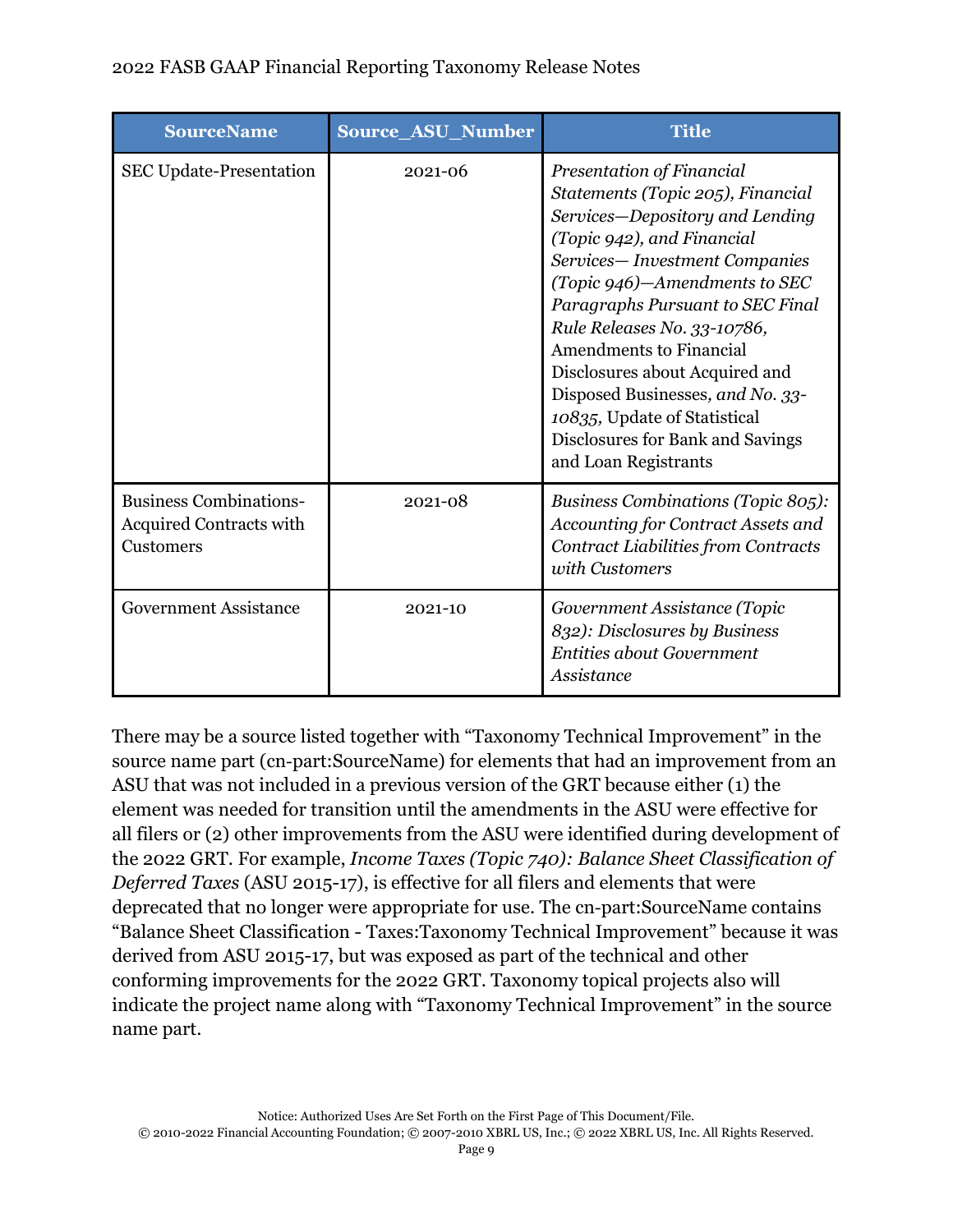| <b>SourceName</b>                                                            | Source_ASU_Number | <b>Title</b>                                                                                                                                                                                                                                                                                                                                                                                                                                                             |
|------------------------------------------------------------------------------|-------------------|--------------------------------------------------------------------------------------------------------------------------------------------------------------------------------------------------------------------------------------------------------------------------------------------------------------------------------------------------------------------------------------------------------------------------------------------------------------------------|
| <b>SEC Update-Presentation</b>                                               | 2021-06           | Presentation of Financial<br>Statements (Topic 205), Financial<br>Services-Depository and Lending<br>(Topic 942), and Financial<br>Services-Investment Companies<br>(Topic 946)-Amendments to SEC<br>Paragraphs Pursuant to SEC Final<br>Rule Releases No. 33-10786,<br><b>Amendments to Financial</b><br>Disclosures about Acquired and<br>Disposed Businesses, and No. 33-<br>10835, Update of Statistical<br>Disclosures for Bank and Savings<br>and Loan Registrants |
| <b>Business Combinations-</b><br><b>Acquired Contracts with</b><br>Customers | 2021-08           | <b>Business Combinations (Topic 805):</b><br>Accounting for Contract Assets and<br><b>Contract Liabilities from Contracts</b><br>with Customers                                                                                                                                                                                                                                                                                                                          |
| <b>Government Assistance</b>                                                 | 2021-10           | Government Assistance (Topic<br>832): Disclosures by Business<br><b>Entities about Government</b><br>Assistance                                                                                                                                                                                                                                                                                                                                                          |

There may be a source listed together with "Taxonomy Technical Improvement" in the source name part (cn-part:SourceName) for elements that had an improvement from an ASU that was not included in a previous version of the GRT because either (1) the element was needed for transition until the amendments in the ASU were effective for all filers or (2) other improvements from the ASU were identified during development of the 2022 GRT. For example, *Income Taxes (Topic 740): Balance Sheet Classification of Deferred Taxes* (ASU 2015-17), is effective for all filers and elements that were deprecated that no longer were appropriate for use. The cn-part:SourceName contains "Balance Sheet Classification - Taxes:Taxonomy Technical Improvement" because it was derived from ASU 2015-17, but was exposed as part of the technical and other conforming improvements for the 2022 GRT. Taxonomy topical projects also will indicate the project name along with "Taxonomy Technical Improvement" in the source name part.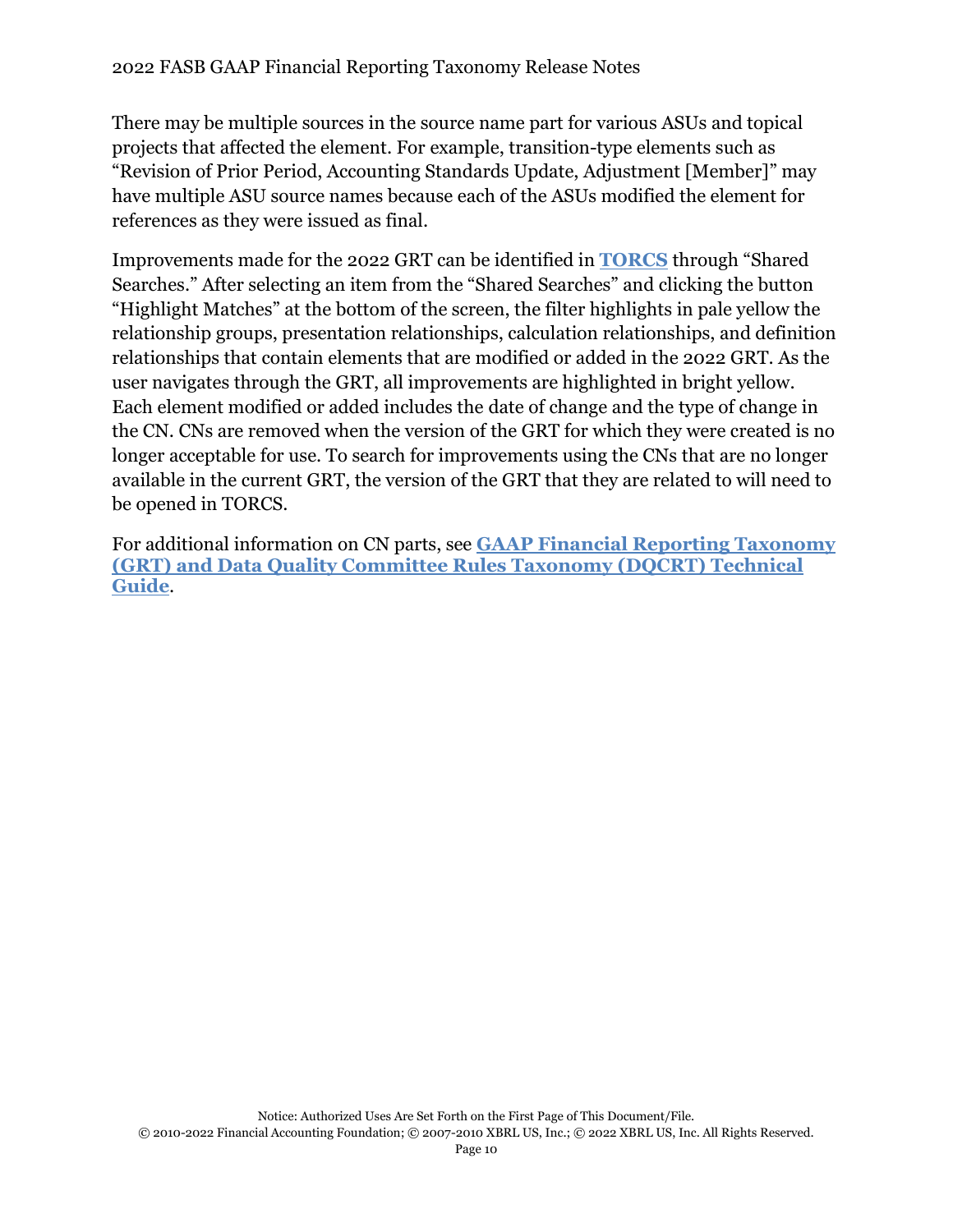There may be multiple sources in the source name part for various ASUs and topical projects that affected the element. For example, transition-type elements such as "Revision of Prior Period, Accounting Standards Update, Adjustment [Member]" may have multiple ASU source names because each of the ASUs modified the element for references as they were issued as final.

Improvements made for the 2022 GRT can be identified in **[TORCS](https://www.fasb.org/cs/ContentServer?c=FASBContent_C&cid=1176158606097&d=&pagename=FASB%2FFASBContent_C%2FNoNavigationContentDisplay)** through "Shared Searches." After selecting an item from the "Shared Searches" and clicking the button "Highlight Matches" at the bottom of the screen, the filter highlights in pale yellow the relationship groups, presentation relationships, calculation relationships, and definition relationships that contain elements that are modified or added in the 2022 GRT. As the user navigates through the GRT, all improvements are highlighted in bright yellow. Each element modified or added includes the date of change and the type of change in the CN. CNs are removed when the version of the GRT for which they were created is no longer acceptable for use. To search for improvements using the CNs that are no longer available in the current GRT, the version of the GRT that they are related to will need to be opened in TORCS.

For additional information on CN parts, see **[GAAP Financial Reporting Taxonomy](https://www.fasb.org/cs/ContentServer?c=Document_C&cid=1176179152432&d=&pagename=FASB%2FDocument_C%2FDocumentPage)  [\(GRT\) and Data Quality Committee Rules Taxonomy \(DQCRT\) Technical](https://www.fasb.org/cs/ContentServer?c=Document_C&cid=1176179152432&d=&pagename=FASB%2FDocument_C%2FDocumentPage)  [Guide](https://www.fasb.org/cs/ContentServer?c=Document_C&cid=1176179152432&d=&pagename=FASB%2FDocument_C%2FDocumentPage)**.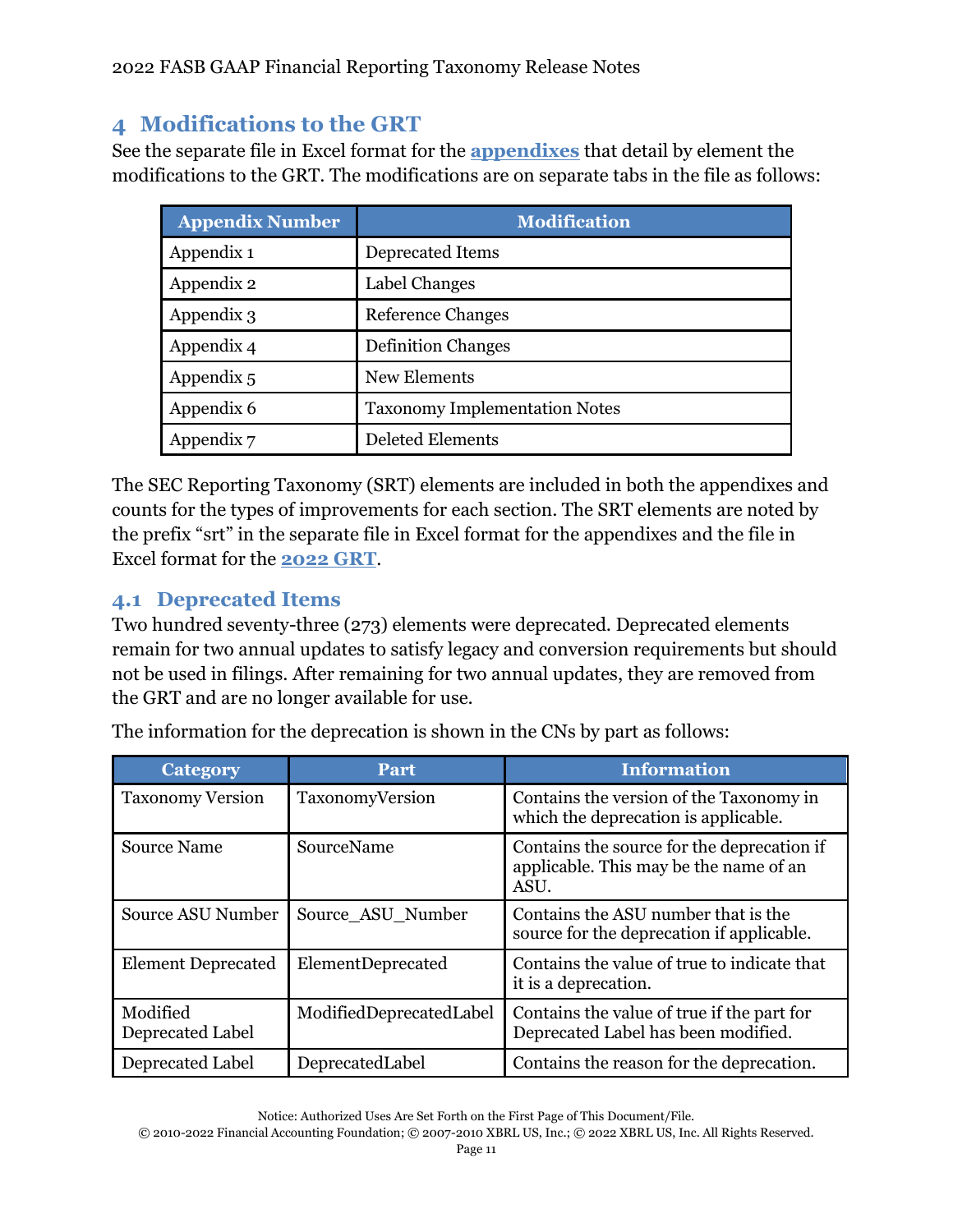# <span id="page-13-0"></span>**4 Modifications to the GRT**

See the separate file in Excel format for the **[appendixes](https://www.fasb.org/cs/ContentServer?c=Document_C&cid=1176179141384&d=&pagename=FASB%2FDocument_C%2FDocumentPage)** that detail by element the modifications to the GRT. The modifications are on separate tabs in the file as follows:

| <b>Appendix Number</b> | <b>Modification</b>                  |
|------------------------|--------------------------------------|
| Appendix 1             | Deprecated Items                     |
| Appendix 2             | Label Changes                        |
| Appendix 3             | <b>Reference Changes</b>             |
| Appendix 4             | <b>Definition Changes</b>            |
| Appendix 5             | New Elements                         |
| Appendix 6             | <b>Taxonomy Implementation Notes</b> |
| Appendix 7             | <b>Deleted Elements</b>              |

The SEC Reporting Taxonomy (SRT) elements are included in both the appendixes and counts for the types of improvements for each section. The SRT elements are noted by the prefix "srt" in the separate file in Excel format for the appendixes and the file in Excel format for the **[2022](https://www.fasb.org/cs/Satellite?c=Document_C&cid=1176179162010&pagename=FASB%2FDocument_C%2FDocumentPage) GRT**.

# <span id="page-13-1"></span>**4.1 Deprecated Items**

Two hundred seventy-three (273) elements were deprecated. Deprecated elements remain for two annual updates to satisfy legacy and conversion requirements but should not be used in filings. After remaining for two annual updates, they are removed from the GRT and are no longer available for use.

| <b>Category</b>              | Part                    | <b>Information</b>                                                                           |
|------------------------------|-------------------------|----------------------------------------------------------------------------------------------|
| <b>Taxonomy Version</b>      | TaxonomyVersion         | Contains the version of the Taxonomy in<br>which the deprecation is applicable.              |
| <b>Source Name</b>           | SourceName              | Contains the source for the deprecation if<br>applicable. This may be the name of an<br>ASU. |
| Source ASU Number            | Source ASU Number       | Contains the ASU number that is the<br>source for the deprecation if applicable.             |
| <b>Element Deprecated</b>    | ElementDeprecated       | Contains the value of true to indicate that<br>it is a deprecation.                          |
| Modified<br>Deprecated Label | ModifiedDeprecatedLabel | Contains the value of true if the part for<br>Deprecated Label has been modified.            |
| Deprecated Label             | DeprecatedLabel         | Contains the reason for the deprecation.                                                     |

The information for the deprecation is shown in the CNs by part as follows:

<sup>© 2010-2022</sup> Financial Accounting Foundation; © 2007-2010 XBRL US, Inc.; © 2022 XBRL US, Inc. All Rights Reserved.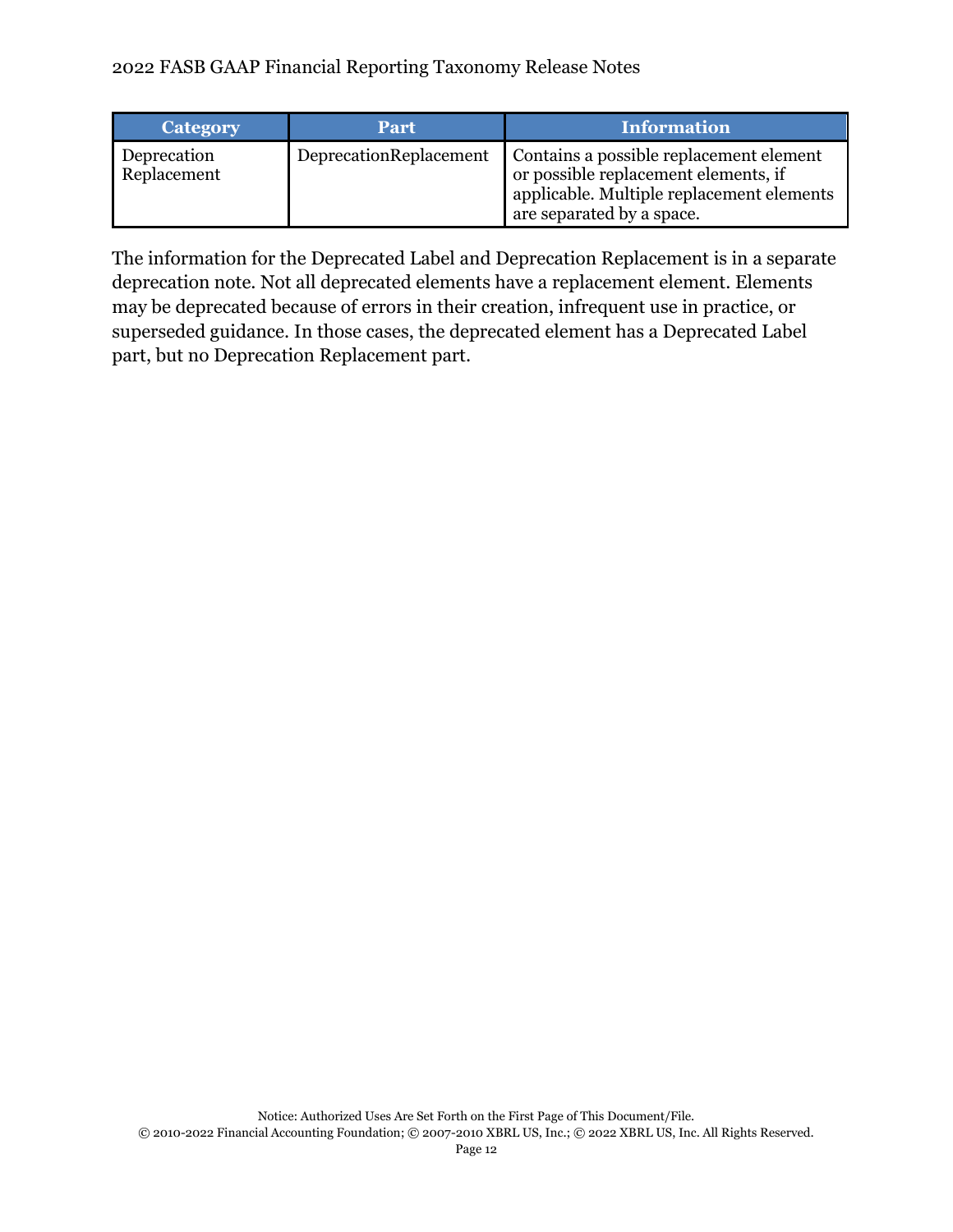| Category                   | Part                   | <b>Information</b> '                                                                                                                                      |
|----------------------------|------------------------|-----------------------------------------------------------------------------------------------------------------------------------------------------------|
| Deprecation<br>Replacement | DeprecationReplacement | Contains a possible replacement element<br>or possible replacement elements, if<br>applicable. Multiple replacement elements<br>are separated by a space. |

The information for the Deprecated Label and Deprecation Replacement is in a separate deprecation note. Not all deprecated elements have a replacement element. Elements may be deprecated because of errors in their creation, infrequent use in practice, or superseded guidance. In those cases, the deprecated element has a Deprecated Label part, but no Deprecation Replacement part.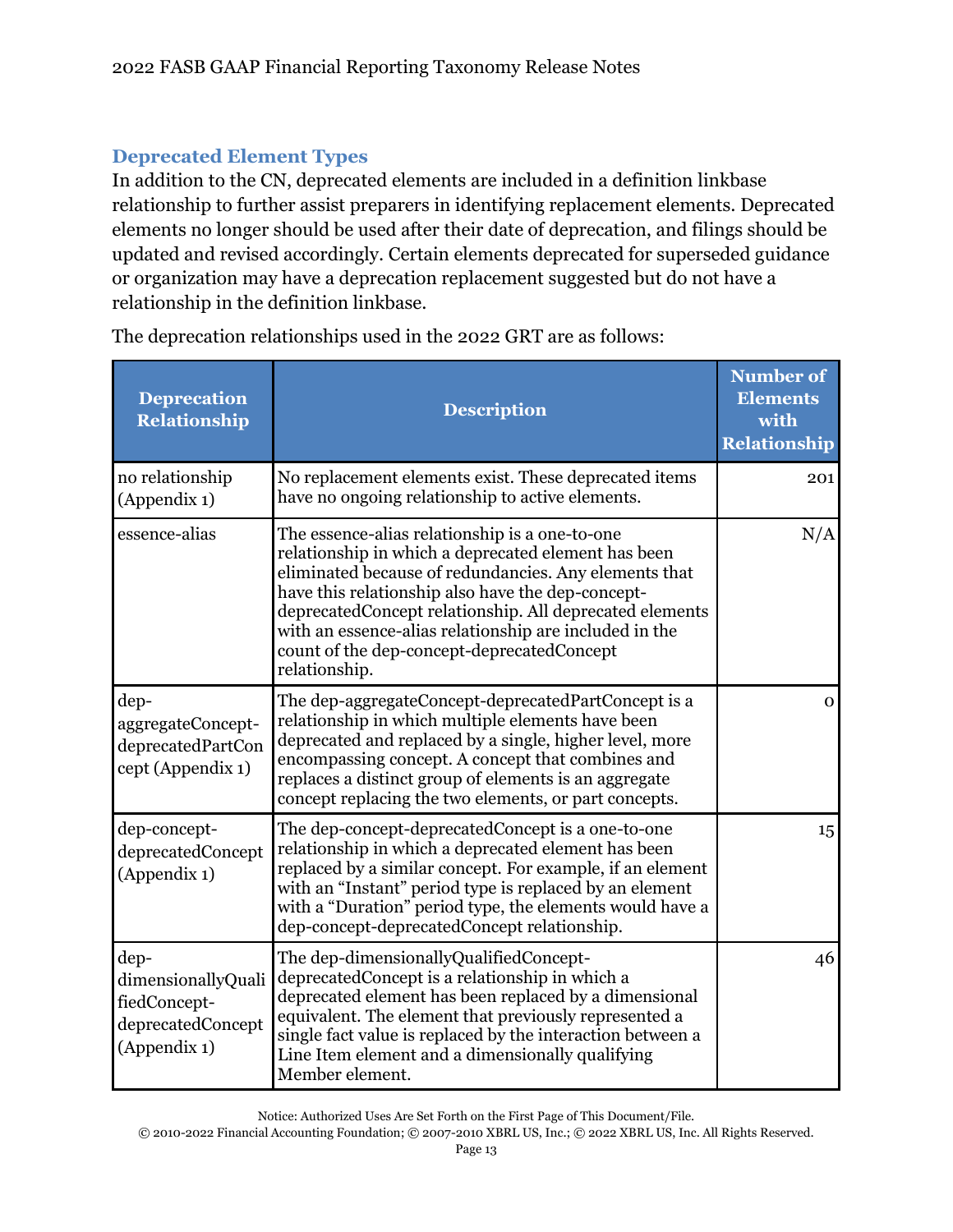# **Deprecated Element Types**

In addition to the CN, deprecated elements are included in a definition linkbase relationship to further assist preparers in identifying replacement elements. Deprecated elements no longer should be used after their date of deprecation, and filings should be updated and revised accordingly. Certain elements deprecated for superseded guidance or organization may have a deprecation replacement suggested but do not have a relationship in the definition linkbase.

| <b>Deprecation</b><br><b>Relationship</b>                                       | <b>Description</b>                                                                                                                                                                                                                                                                                                                                                                                      | <b>Number of</b><br><b>Elements</b><br>with<br><b>Relationship</b> |
|---------------------------------------------------------------------------------|---------------------------------------------------------------------------------------------------------------------------------------------------------------------------------------------------------------------------------------------------------------------------------------------------------------------------------------------------------------------------------------------------------|--------------------------------------------------------------------|
| no relationship<br>(Appendix 1)                                                 | No replacement elements exist. These deprecated items<br>have no ongoing relationship to active elements.                                                                                                                                                                                                                                                                                               | 201                                                                |
| essence-alias                                                                   | The essence-alias relationship is a one-to-one<br>relationship in which a deprecated element has been<br>eliminated because of redundancies. Any elements that<br>have this relationship also have the dep-concept-<br>deprecatedConcept relationship. All deprecated elements<br>with an essence-alias relationship are included in the<br>count of the dep-concept-deprecatedConcept<br>relationship. | N/A                                                                |
| dep-<br>aggregateConcept-<br>deprecatedPartCon<br>cept (Appendix 1)             | The dep-aggregateConcept-deprecatedPartConcept is a<br>relationship in which multiple elements have been<br>deprecated and replaced by a single, higher level, more<br>encompassing concept. A concept that combines and<br>replaces a distinct group of elements is an aggregate<br>concept replacing the two elements, or part concepts.                                                              | $\Omega$                                                           |
| dep-concept-<br>deprecatedConcept<br>(Appendix 1)                               | The dep-concept-deprecatedConcept is a one-to-one<br>relationship in which a deprecated element has been<br>replaced by a similar concept. For example, if an element<br>with an "Instant" period type is replaced by an element<br>with a "Duration" period type, the elements would have a<br>dep-concept-deprecatedConcept relationship.                                                             | 15                                                                 |
| dep-<br>dimensionallyQuali<br>fiedConcept-<br>deprecatedConcept<br>(Appendix 1) | The dep-dimensionallyQualifiedConcept-<br>deprecatedConcept is a relationship in which a<br>deprecated element has been replaced by a dimensional<br>equivalent. The element that previously represented a<br>single fact value is replaced by the interaction between a<br>Line Item element and a dimensionally qualifying<br>Member element.                                                         | 46                                                                 |

The deprecation relationships used in the 2022 GRT are as follows:

Notice: Authorized Uses Are Set Forth on the First Page of This Document/File.

<sup>© 2010-2022</sup> Financial Accounting Foundation; © 2007-2010 XBRL US, Inc.; © 2022 XBRL US, Inc. All Rights Reserved.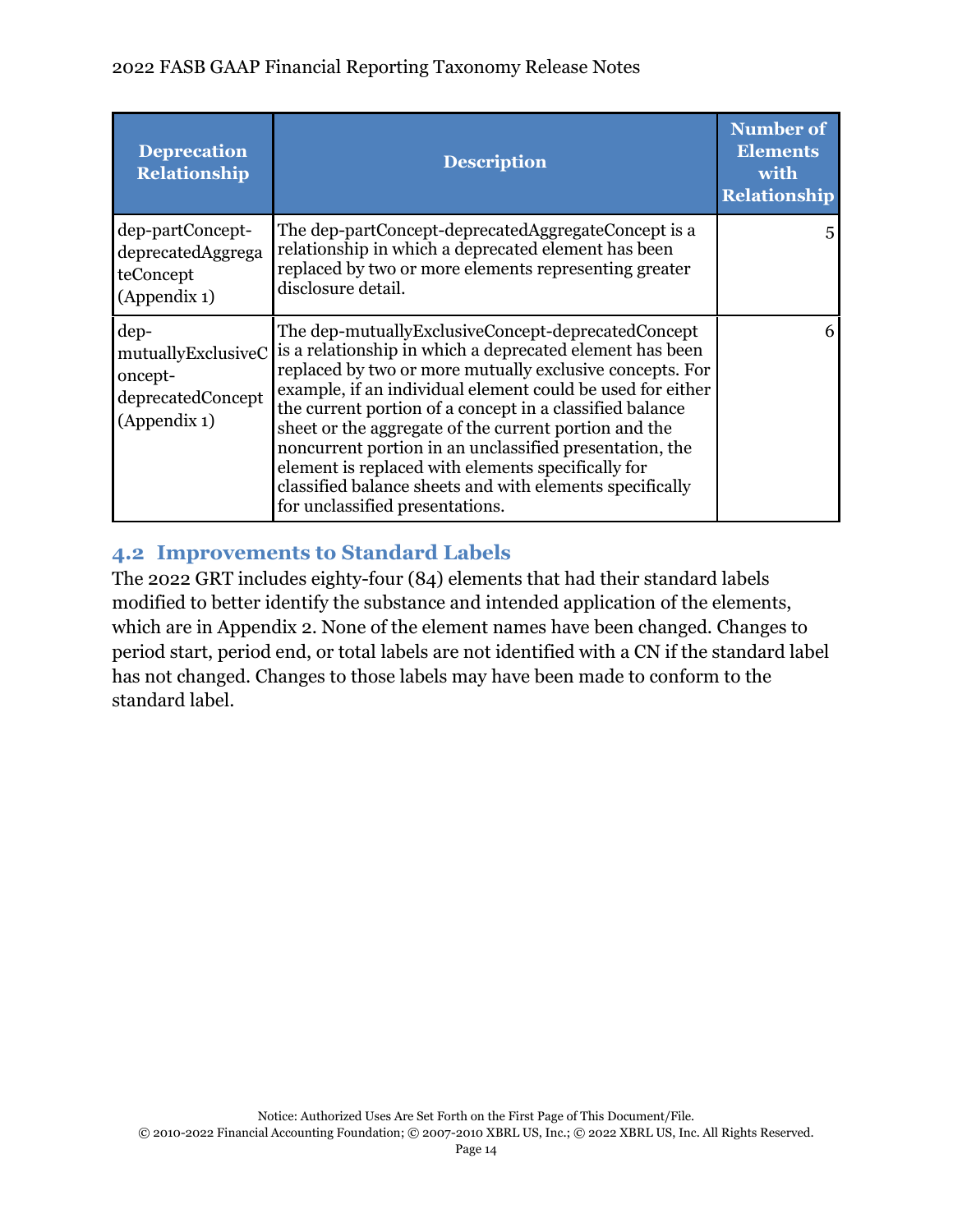## 2022 FASB GAAP Financial Reporting Taxonomy Release Notes

| <b>Deprecation</b><br><b>Relationship</b>                                  | <b>Description</b>                                                                                                                                                                                                                                                                                                                                                                                                                                                                                                                                                            | <b>Number of</b><br><b>Elements</b><br>with<br><b>Relationship</b> |
|----------------------------------------------------------------------------|-------------------------------------------------------------------------------------------------------------------------------------------------------------------------------------------------------------------------------------------------------------------------------------------------------------------------------------------------------------------------------------------------------------------------------------------------------------------------------------------------------------------------------------------------------------------------------|--------------------------------------------------------------------|
| dep-partConcept-<br>deprecatedAggrega<br>teConcept<br>(Appendix 1)         | The dep-partConcept-deprecatedAggregateConcept is a<br>relationship in which a deprecated element has been<br>replaced by two or more elements representing greater<br>disclosure detail.                                                                                                                                                                                                                                                                                                                                                                                     | 5                                                                  |
| dep-<br>mutuallyExclusiveC<br>oncept-<br>deprecatedConcept<br>(Appendix 1) | The dep-mutuallyExclusiveConcept-deprecatedConcept<br>is a relationship in which a deprecated element has been<br>replaced by two or more mutually exclusive concepts. For<br>example, if an individual element could be used for either<br>the current portion of a concept in a classified balance<br>sheet or the aggregate of the current portion and the<br>noncurrent portion in an unclassified presentation, the<br>element is replaced with elements specifically for<br>classified balance sheets and with elements specifically<br>for unclassified presentations. | 6                                                                  |

# <span id="page-16-0"></span>**4.2 Improvements to Standard Labels**

The 2022 GRT includes eighty-four (84) elements that had their standard labels modified to better identify the substance and intended application of the elements, which are in Appendix 2. None of the element names have been changed. Changes to period start, period end, or total labels are not identified with a CN if the standard label has not changed. Changes to those labels may have been made to conform to the standard label.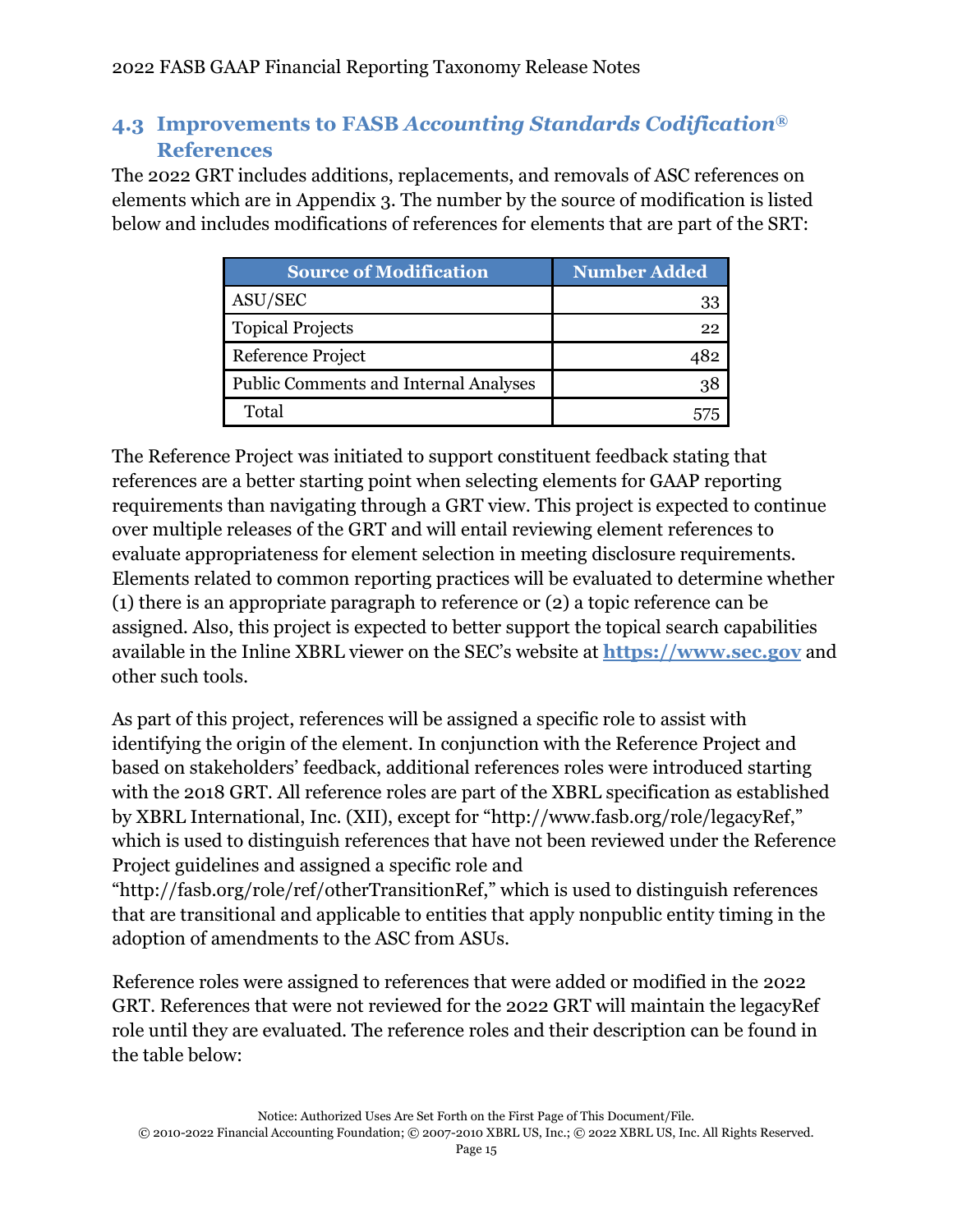# <span id="page-17-0"></span>**4.3 Improvements to FASB** *Accounting Standards Codification***® References**

The 2022 GRT includes additions, replacements, and removals of ASC references on elements which are in Appendix 3. The number by the source of modification is listed below and includes modifications of references for elements that are part of the SRT:

| <b>Source of Modification</b>                | Number Added |
|----------------------------------------------|--------------|
| ASU/SEC                                      | 33           |
| <b>Topical Projects</b>                      | 22           |
| Reference Project                            |              |
| <b>Public Comments and Internal Analyses</b> | १४           |
| Total                                        |              |

The Reference Project was initiated to support constituent feedback stating that references are a better starting point when selecting elements for GAAP reporting requirements than navigating through a GRT view. This project is expected to continue over multiple releases of the GRT and will entail reviewing element references to evaluate appropriateness for element selection in meeting disclosure requirements. Elements related to common reporting practices will be evaluated to determine whether (1) there is an appropriate paragraph to reference or (2) a topic reference can be assigned. Also, this project is expected to better support the topical search capabilities available in the Inline XBRL viewer on the SEC's website at **[https://www.sec.gov](https://www.sec.gov/structureddata/osd-inline-xbrl.html)** and other such tools.

As part of this project, references will be assigned a specific role to assist with identifying the origin of the element. In conjunction with the Reference Project and based on stakeholders' feedback, additional references roles were introduced starting with the 2018 GRT. All reference roles are part of the XBRL specification as established by XBRL International, Inc. (XII), except for "[http://www.fasb.org/role/legacyRef,](http://www.fasb.org/2017/role/legacyRef)" which is used to distinguish references that have not been reviewed under the Reference Project guidelines and assigned a specific role and

"[http://fasb.org/role/ref/otherTransitionRef,](http://fasb.org/role/ref/otherTransitionRef)" which is used to distinguish references that are transitional and applicable to entities that apply nonpublic entity timing in the adoption of amendments to the ASC from ASUs.

Reference roles were assigned to references that were added or modified in the 2022 GRT. References that were not reviewed for the 2022 GRT will maintain the legacyRef role until they are evaluated. The reference roles and their description can be found in the table below: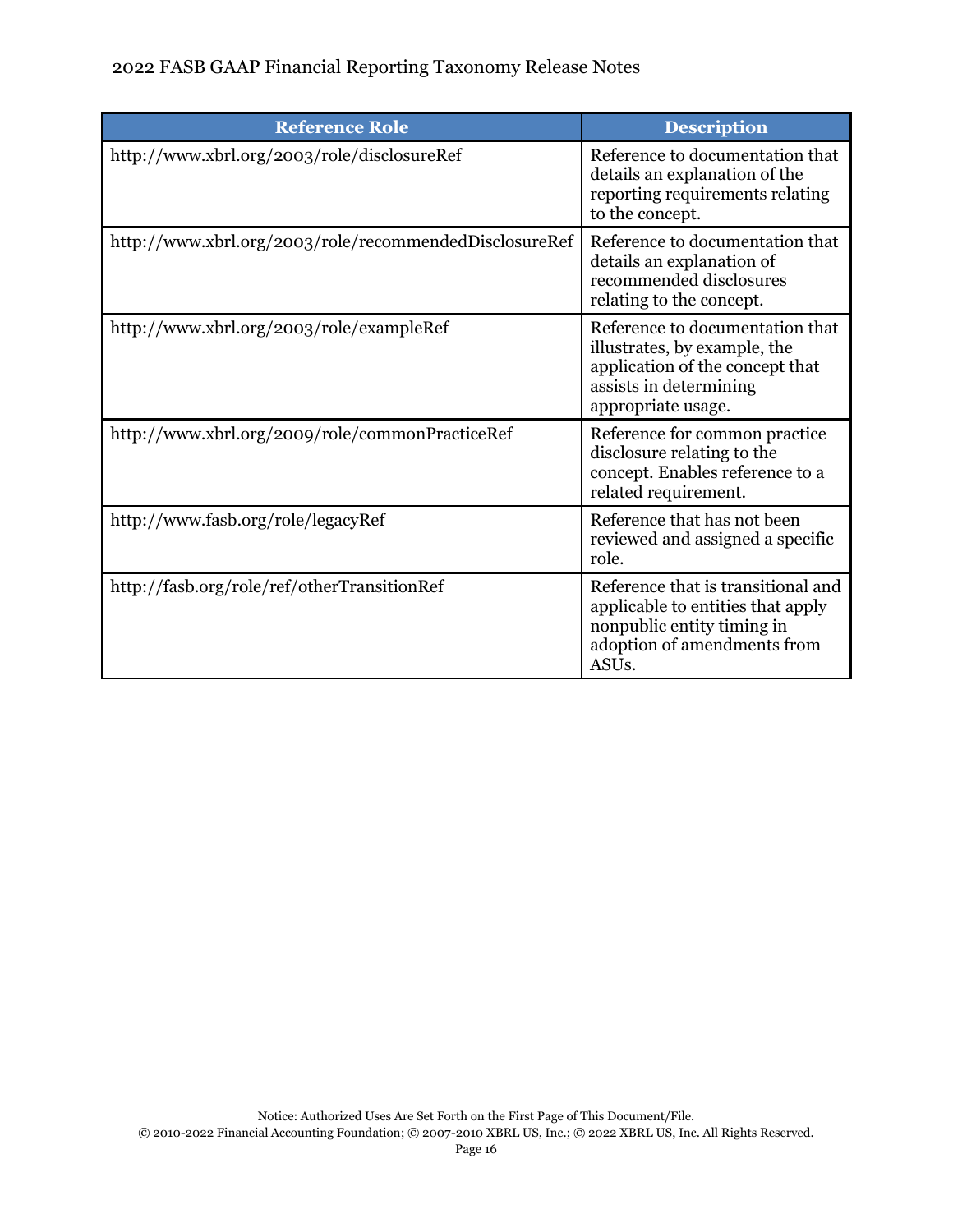# 2022 FASB GAAP Financial Reporting Taxonomy Release Notes

| <b>Reference Role</b>                                  | <b>Description</b>                                                                                                                                         |
|--------------------------------------------------------|------------------------------------------------------------------------------------------------------------------------------------------------------------|
| http://www.xbrl.org/2003/role/disclosureRef            | Reference to documentation that<br>details an explanation of the<br>reporting requirements relating<br>to the concept.                                     |
| http://www.xbrl.org/2003/role/recommendedDisclosureRef | Reference to documentation that<br>details an explanation of<br>recommended disclosures<br>relating to the concept.                                        |
| http://www.xbrl.org/2003/role/exampleRef               | Reference to documentation that<br>illustrates, by example, the<br>application of the concept that<br>assists in determining<br>appropriate usage.         |
| http://www.xbrl.org/2009/role/commonPracticeRef        | Reference for common practice<br>disclosure relating to the<br>concept. Enables reference to a<br>related requirement.                                     |
| http://www.fasb.org/role/legacyRef                     | Reference that has not been<br>reviewed and assigned a specific<br>role.                                                                                   |
| http://fasb.org/role/ref/otherTransitionRef            | Reference that is transitional and<br>applicable to entities that apply<br>nonpublic entity timing in<br>adoption of amendments from<br>ASU <sub>s</sub> . |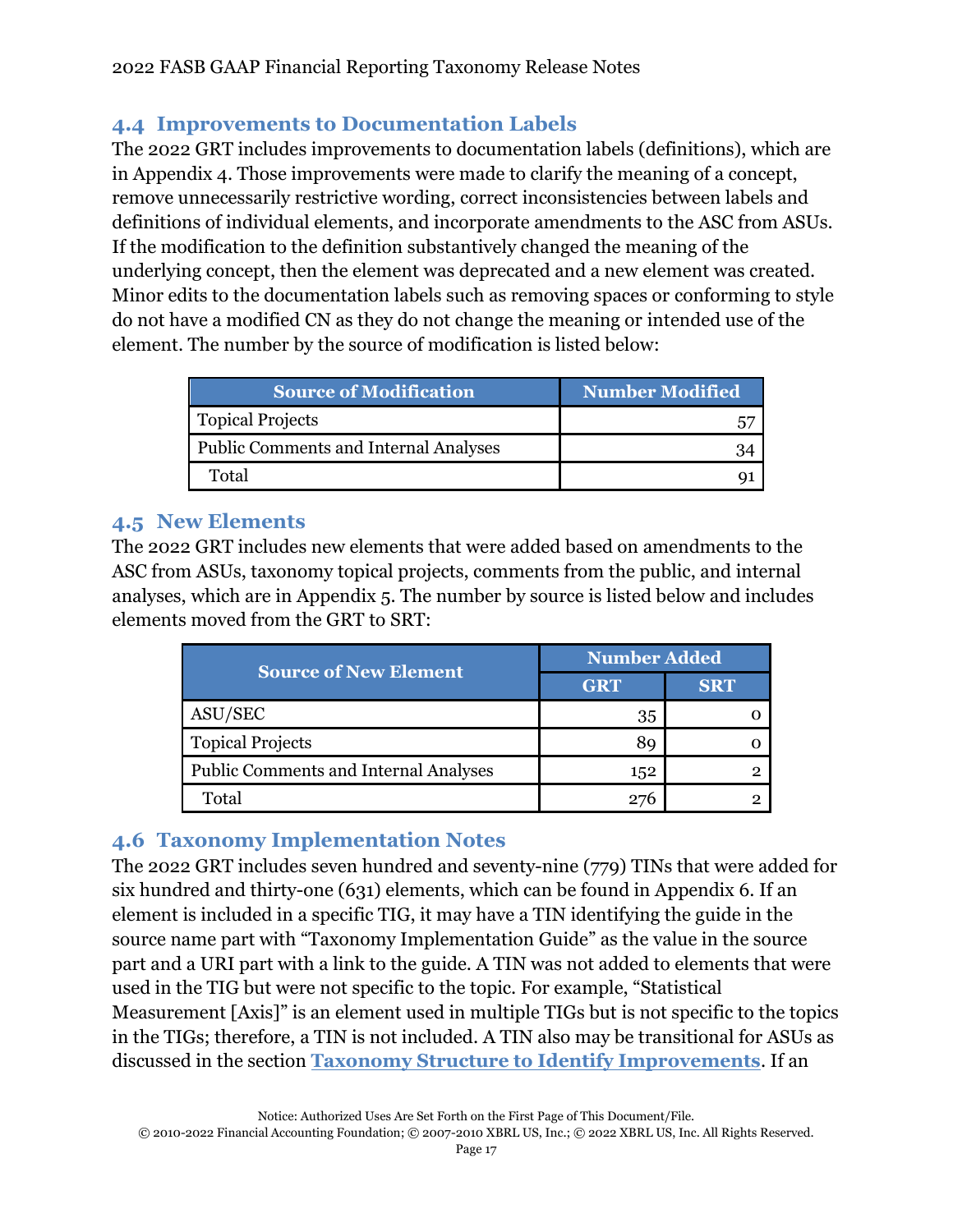# <span id="page-19-0"></span>**4.4 Improvements to Documentation Labels**

The 2022 GRT includes improvements to documentation labels (definitions), which are in Appendix 4. Those improvements were made to clarify the meaning of a concept, remove unnecessarily restrictive wording, correct inconsistencies between labels and definitions of individual elements, and incorporate amendments to the ASC from ASUs. If the modification to the definition substantively changed the meaning of the underlying concept, then the element was deprecated and a new element was created. Minor edits to the documentation labels such as removing spaces or conforming to style do not have a modified CN as they do not change the meaning or intended use of the element. The number by the source of modification is listed below:

| <b>Source of Modification</b>                | <b>Number Modified</b> |
|----------------------------------------------|------------------------|
| <b>Topical Projects</b>                      |                        |
| <b>Public Comments and Internal Analyses</b> |                        |
| Total                                        |                        |

# <span id="page-19-1"></span>**4.5 New Elements**

The 2022 GRT includes new elements that were added based on amendments to the ASC from ASUs, taxonomy topical projects, comments from the public, and internal analyses, which are in Appendix 5. The number by source is listed below and includes elements moved from the GRT to SRT:

| <b>Source of New Element</b>                 | <b>Number Added</b> |            |
|----------------------------------------------|---------------------|------------|
|                                              | <b>GRT</b>          | <b>SRT</b> |
| ASU/SEC                                      | 35                  |            |
| <b>Topical Projects</b>                      |                     |            |
| <b>Public Comments and Internal Analyses</b> | 152                 |            |
| Total                                        |                     |            |

# <span id="page-19-2"></span>**4.6 Taxonomy Implementation Notes**

The 2022 GRT includes seven hundred and seventy-nine (779) TINs that were added for six hundred and thirty-one (631) elements, which can be found in Appendix 6. If an element is included in a specific TIG, it may have a TIN identifying the guide in the source name part with "Taxonomy Implementation Guide" as the value in the source part and a URI part with a link to the guide. A TIN was not added to elements that were used in the TIG but were not specific to the topic. For example, "Statistical Measurement [Axis]" is an element used in multiple TIGs but is not specific to the topics in the TIGs; therefore, a TIN is not included. A TIN also may be transitional for ASUs as discussed in the section **[Taxonomy Structure to Identify Improvements](#page-10-0)**. If an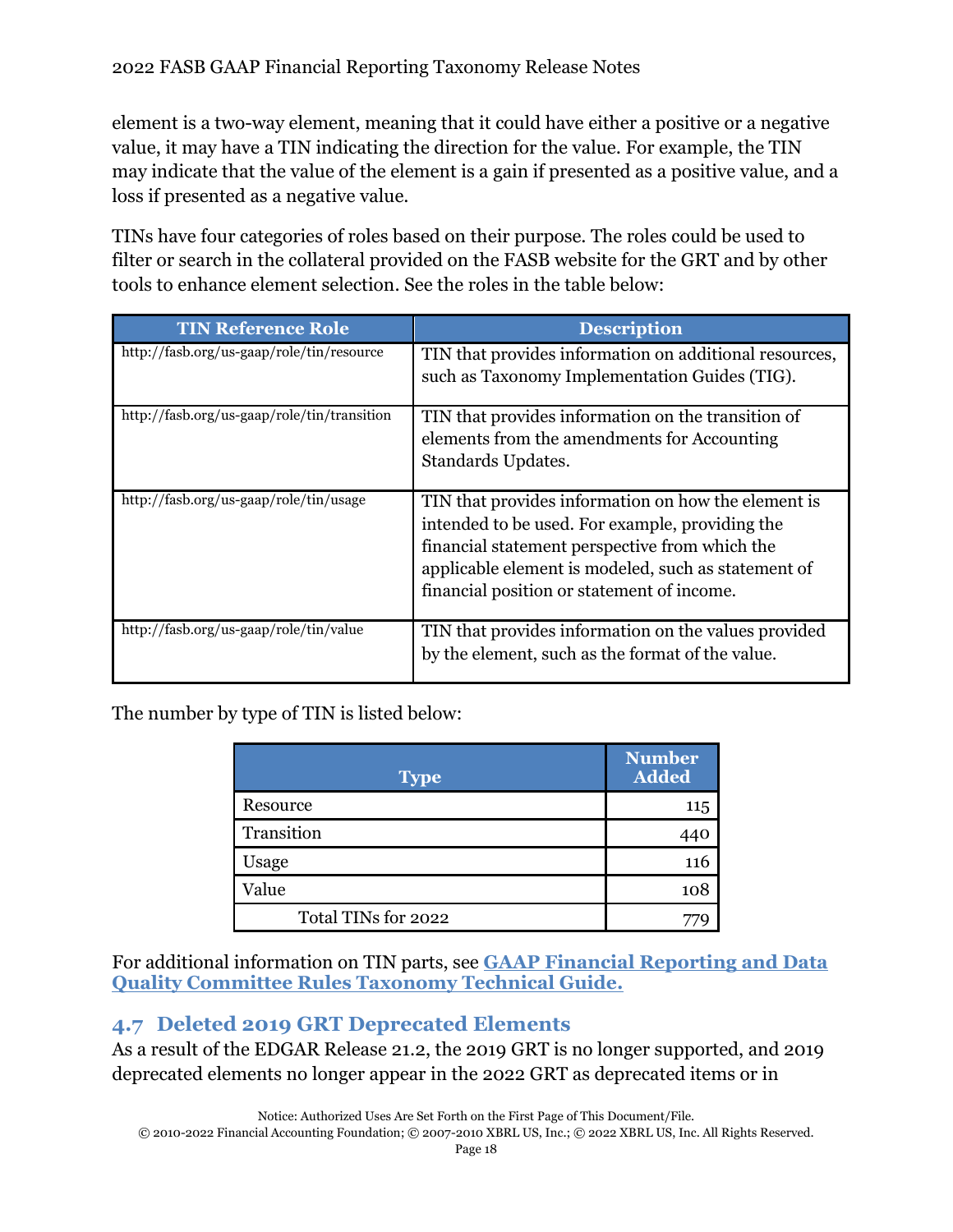element is a two-way element, meaning that it could have either a positive or a negative value, it may have a TIN indicating the direction for the value. For example, the TIN may indicate that the value of the element is a gain if presented as a positive value, and a loss if presented as a negative value.

TINs have four categories of roles based on their purpose. The roles could be used to filter or search in the collateral provided on the FASB website for the GRT and by other tools to enhance element selection. See the roles in the table below:

| <b>TIN Reference Role</b>                   | <b>Description</b>                                                                                                                                                                                                                                            |
|---------------------------------------------|---------------------------------------------------------------------------------------------------------------------------------------------------------------------------------------------------------------------------------------------------------------|
| http://fasb.org/us-gaap/role/tin/resource   | TIN that provides information on additional resources,<br>such as Taxonomy Implementation Guides (TIG).                                                                                                                                                       |
| http://fasb.org/us-gaap/role/tin/transition | TIN that provides information on the transition of<br>elements from the amendments for Accounting<br>Standards Updates.                                                                                                                                       |
| http://fasb.org/us-gaap/role/tin/usage      | TIN that provides information on how the element is<br>intended to be used. For example, providing the<br>financial statement perspective from which the<br>applicable element is modeled, such as statement of<br>financial position or statement of income. |
| http://fasb.org/us-gaap/role/tin/value      | TIN that provides information on the values provided<br>by the element, such as the format of the value.                                                                                                                                                      |

The number by type of TIN is listed below:

| <b>Type</b>         | <b>Number</b><br><b>Added</b> |
|---------------------|-------------------------------|
| Resource            | 115                           |
| Transition          | 440                           |
| Usage               | 116                           |
| Value               | 108                           |
| Total TINs for 2022 |                               |

For additional information on TIN parts, see **GAAP Financial [Reporting and Data](https://www.fasb.org/cs/ContentServer?c=Document_C&cid=1176179152432&d=&pagename=FASB%2FDocument_C%2FDocumentPage)  [Quality Committee Rules Taxonomy Technical Guide.](https://www.fasb.org/cs/ContentServer?c=Document_C&cid=1176179152432&d=&pagename=FASB%2FDocument_C%2FDocumentPage)**

# <span id="page-20-0"></span>**4.7 Deleted 2019 GRT Deprecated Elements**

As a result of the EDGAR Release 21.2, the 2019 GRT is no longer supported, and 2019 deprecated elements no longer appear in the 2022 GRT as deprecated items or in